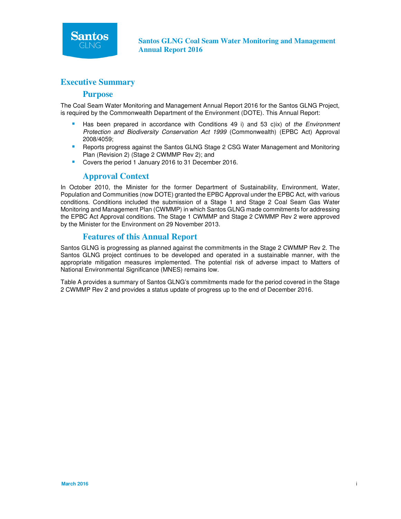### **Executive Summary**

#### **Purpose**

The Coal Seam Water Monitoring and Management Annual Report 2016 for the Santos GLNG Project, is required by the Commonwealth Department of the Environment (DOTE). This Annual Report:

- Has been prepared in accordance with Conditions 49 i) and 53 c)ix) of *the Environment Protection and Biodiversity Conservation Act 1999* (Commonwealth) (EPBC Act) Approval 2008/4059;
- **P** Reports progress against the Santos GLNG Stage 2 CSG Water Management and Monitoring Plan (Revision 2) (Stage 2 CWMMP Rev 2); and
- Covers the period 1 January 2016 to 31 December 2016.

#### **Approval Context**

In October 2010, the Minister for the former Department of Sustainability, Environment, Water, Population and Communities (now DOTE) granted the EPBC Approval under the EPBC Act, with various conditions. Conditions included the submission of a Stage 1 and Stage 2 Coal Seam Gas Water Monitoring and Management Plan (CWMMP) in which Santos GLNG made commitments for addressing the EPBC Act Approval conditions. The Stage 1 CWMMP and Stage 2 CWMMP Rev 2 were approved by the Minister for the Environment on 29 November 2013.

#### **Features of this Annual Report**

Santos GLNG is progressing as planned against the commitments in the Stage 2 CWMMP Rev 2. The Santos GLNG project continues to be developed and operated in a sustainable manner, with the appropriate mitigation measures implemented. The potential risk of adverse impact to Matters of National Environmental Significance (MNES) remains low.

Table A provides a summary of Santos GLNG's commitments made for the period covered in the Stage 2 CWMMP Rev 2 and provides a status update of progress up to the end of December 2016.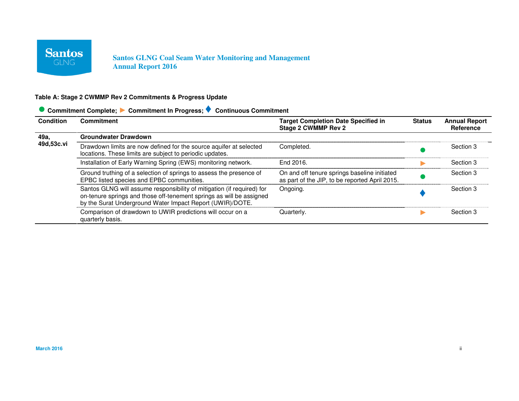

#### **Table A: Stage 2 CWMMP Rev 2 Commitments & Progress Update**

| Condition  | <b>Commitment</b>                                                                                                                                                                                           | <b>Target Completion Date Specified in</b><br><b>Stage 2 CWMMP Rev 2</b>                       | <b>Status</b> | <b>Annual Report</b><br><b>Reference</b> |
|------------|-------------------------------------------------------------------------------------------------------------------------------------------------------------------------------------------------------------|------------------------------------------------------------------------------------------------|---------------|------------------------------------------|
| 49a.       | <b>Groundwater Drawdown</b>                                                                                                                                                                                 |                                                                                                |               |                                          |
| 49d,53c.vi | Drawdown limits are now defined for the source aquifer at selected<br>locations. These limits are subject to periodic updates.                                                                              | Completed.                                                                                     |               | Section 3                                |
|            | Installation of Early Warning Spring (EWS) monitoring network.                                                                                                                                              | End 2016.                                                                                      |               | Section 3                                |
|            | Ground truthing of a selection of springs to assess the presence of<br>EPBC listed species and EPBC communities.                                                                                            | On and off tenure springs baseline initiated<br>as part of the JIP, to be reported April 2015. |               | Section 3                                |
|            | Santos GLNG will assume responsibility of mitigation (if required) for<br>on-tenure springs and those off-tenement springs as will be assigned<br>by the Surat Underground Water Impact Report (UWIR)/DOTE. | Ongoing.                                                                                       |               | Section 3                                |
|            | Comparison of drawdown to UWIR predictions will occur on a<br>quarterly basis.                                                                                                                              | Quarterly.                                                                                     |               | Section 3                                |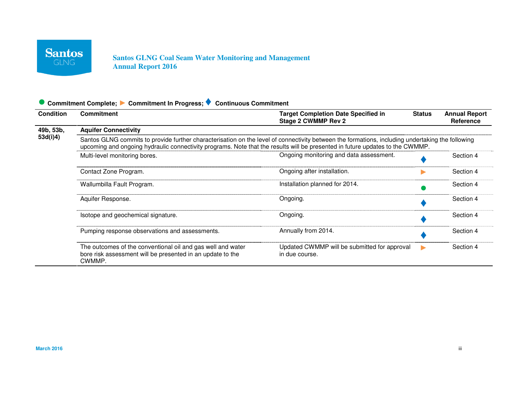

| <b>Condition</b> | <b>Commitment</b>                                                                                                                                                                                                                                                                 | <b>Target Completion Date Specified in</b><br>Stage 2 CWMMP Rev 2 | <b>Status</b> | <b>Annual Report</b><br>Reference |
|------------------|-----------------------------------------------------------------------------------------------------------------------------------------------------------------------------------------------------------------------------------------------------------------------------------|-------------------------------------------------------------------|---------------|-----------------------------------|
| 49b, 53b,        | <b>Aquifer Connectivity</b>                                                                                                                                                                                                                                                       |                                                                   |               |                                   |
| 53d(i)4)         | Santos GLNG commits to provide further characterisation on the level of connectivity between the formations, including undertaking the following<br>upcoming and ongoing hydraulic connectivity programs. Note that the results will be presented in future updates to the CWMMP. |                                                                   |               |                                   |
|                  | Multi-level monitoring bores.                                                                                                                                                                                                                                                     | Ongoing monitoring and data assessment.                           |               | Section 4                         |
|                  | Contact Zone Program.                                                                                                                                                                                                                                                             | Ongoing after installation.                                       |               | Section 4                         |
|                  | Wallumbilla Fault Program.                                                                                                                                                                                                                                                        | Installation planned for 2014.                                    |               | Section 4                         |
|                  | Aquifer Response.                                                                                                                                                                                                                                                                 | Ongoing.                                                          |               | Section 4                         |
|                  | Isotope and geochemical signature.                                                                                                                                                                                                                                                | Ongoing.                                                          |               | Section 4                         |
|                  | Pumping response observations and assessments.                                                                                                                                                                                                                                    | Annually from 2014.                                               |               | Section 4                         |
|                  | The outcomes of the conventional oil and gas well and water<br>bore risk assessment will be presented in an update to the<br>CWMMP.                                                                                                                                               | Updated CWMMP will be submitted for approval<br>in due course.    |               | Section 4                         |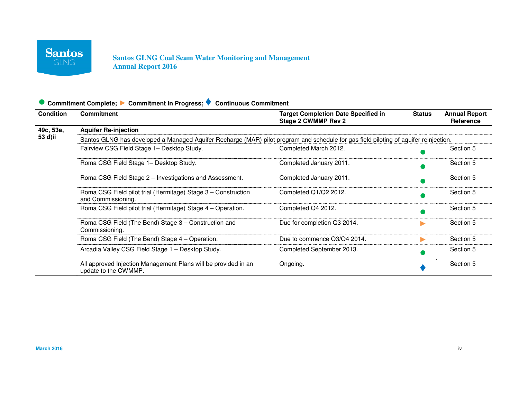

| <b>Condition</b> | <b>Commitment</b>                                                                                                                    | <b>Target Completion Date Specified in</b><br><b>Stage 2 CWMMP Rev 2</b> | <b>Status</b> | <b>Annual Report</b><br>Reference |
|------------------|--------------------------------------------------------------------------------------------------------------------------------------|--------------------------------------------------------------------------|---------------|-----------------------------------|
| 49с, 53а,        | <b>Aquifer Re-injection</b>                                                                                                          |                                                                          |               |                                   |
| 53 d)ii          | Santos GLNG has developed a Managed Aquifer Recharge (MAR) pilot program and schedule for gas field piloting of aquifer reinjection. |                                                                          |               |                                   |
|                  | Fairview CSG Field Stage 1- Desktop Study.                                                                                           | Completed March 2012.                                                    |               | Section 5                         |
|                  | Roma CSG Field Stage 1- Desktop Study.                                                                                               | Completed January 2011.                                                  |               | Section 5                         |
|                  | Roma CSG Field Stage 2 - Investigations and Assessment.                                                                              | Completed January 2011.                                                  |               | Section 5                         |
|                  | Roma CSG Field pilot trial (Hermitage) Stage 3 - Construction<br>and Commissioning.                                                  | Completed Q1/Q2 2012.                                                    |               | Section 5                         |
|                  | Roma CSG Field pilot trial (Hermitage) Stage 4 - Operation.                                                                          | Completed Q4 2012.                                                       |               | Section 5                         |
|                  | Roma CSG Field (The Bend) Stage 3 - Construction and<br>Commissioning.                                                               | Due for completion Q3 2014.                                              |               | Section 5                         |
|                  | Roma CSG Field (The Bend) Stage 4 - Operation.                                                                                       | Due to commence Q3/Q4 2014.                                              |               | Section 5                         |
|                  | Arcadia Valley CSG Field Stage 1 - Desktop Study.                                                                                    | Completed September 2013.                                                |               | Section 5                         |
|                  | All approved Injection Management Plans will be provided in an<br>update to the CWMMP.                                               | Ongoing.                                                                 |               | Section 5                         |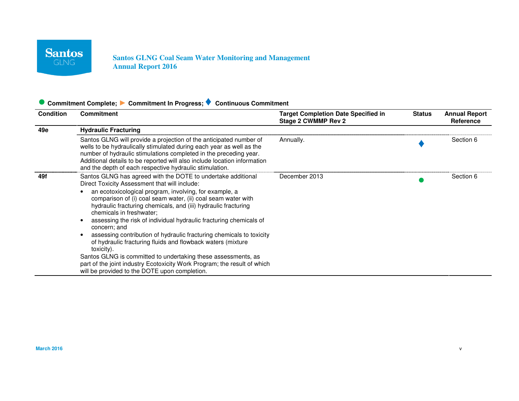

| <b>Condition</b> | <b>Commitment</b>                                                                                                                                                                                                                                                                                                                                      | <b>Target Completion Date Specified in</b><br>Stage 2 CWMMP Rev 2 | <b>Status</b> | <b>Annual Report</b><br>Reference |
|------------------|--------------------------------------------------------------------------------------------------------------------------------------------------------------------------------------------------------------------------------------------------------------------------------------------------------------------------------------------------------|-------------------------------------------------------------------|---------------|-----------------------------------|
| 49e              | <b>Hydraulic Fracturing</b>                                                                                                                                                                                                                                                                                                                            |                                                                   |               |                                   |
|                  | Santos GLNG will provide a projection of the anticipated number of<br>wells to be hydraulically stimulated during each year as well as the<br>number of hydraulic stimulations completed in the preceding year.<br>Additional details to be reported will also include location information<br>and the depth of each respective hydraulic stimulation. | Annually.                                                         |               | Section 6                         |
| 49f              | Santos GLNG has agreed with the DOTE to undertake additional<br>Direct Toxicity Assessment that will include:<br>an ecotoxicological program, involving, for example, a                                                                                                                                                                                | December 2013                                                     |               | Section 6                         |
|                  | comparison of (i) coal seam water, (ii) coal seam water with<br>hydraulic fracturing chemicals, and (iii) hydraulic fracturing<br>chemicals in freshwater;                                                                                                                                                                                             |                                                                   |               |                                   |
|                  | assessing the risk of individual hydraulic fracturing chemicals of<br>concern; and                                                                                                                                                                                                                                                                     |                                                                   |               |                                   |
|                  | assessing contribution of hydraulic fracturing chemicals to toxicity<br>of hydraulic fracturing fluids and flowback waters (mixture<br>toxicity).                                                                                                                                                                                                      |                                                                   |               |                                   |
|                  | Santos GLNG is committed to undertaking these assessments, as<br>part of the joint industry Ecotoxicity Work Program; the result of which<br>will be provided to the DOTE upon completion.                                                                                                                                                             |                                                                   |               |                                   |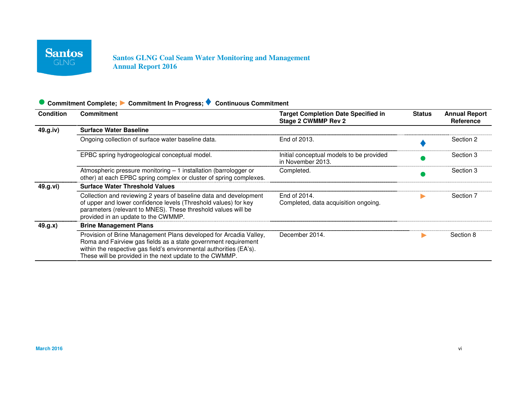

| Condition | <b>Commitment</b>                                                                                                                                                                                                                                                     | <b>Target Completion Date Specified in</b><br>Stage 2 CWMMP Rev 2 | <b>Status</b> | <b>Annual Report</b><br>Reference |
|-----------|-----------------------------------------------------------------------------------------------------------------------------------------------------------------------------------------------------------------------------------------------------------------------|-------------------------------------------------------------------|---------------|-----------------------------------|
| 49.g.iv)  | <b>Surface Water Baseline</b>                                                                                                                                                                                                                                         |                                                                   |               |                                   |
|           | Ongoing collection of surface water baseline data.                                                                                                                                                                                                                    | End of 2013.                                                      |               | Section 2                         |
|           | EPBC spring hydrogeological conceptual model.                                                                                                                                                                                                                         | Initial conceptual models to be provided<br>in November 2013.     |               | Section 3                         |
|           | Atmospheric pressure monitoring – 1 installation (barrologger or<br>other) at each EPBC spring complex or cluster of spring complexes.                                                                                                                                | Completed.                                                        |               | Section 3                         |
| 49.g.vi)  | <b>Surface Water Threshold Values</b>                                                                                                                                                                                                                                 |                                                                   |               |                                   |
|           | Collection and reviewing 2 years of baseline data and development<br>of upper and lower confidence levels (Threshold values) for key<br>parameters (relevant to MNES). These threshold values will be<br>provided in an update to the CWMMP.                          | End of 2014.<br>Completed, data acquisition ongoing.              |               | Section 7                         |
| 49.q.x)   | <b>Brine Management Plans</b>                                                                                                                                                                                                                                         |                                                                   |               |                                   |
|           | Provision of Brine Management Plans developed for Arcadia Valley.<br>Roma and Fairview gas fields as a state government requirement<br>within the respective gas field's environmental authorities (EA's).<br>These will be provided in the next update to the CWMMP. | December 2014.                                                    |               | Section 8                         |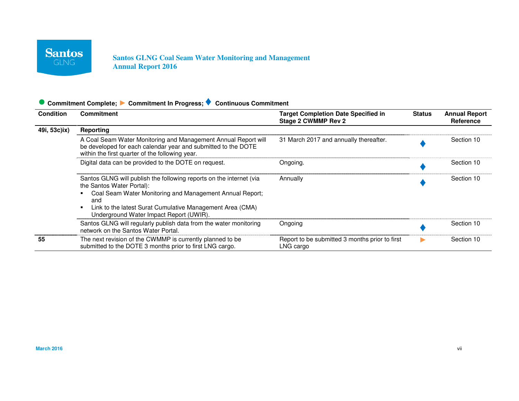

| <b>Condition</b> | <b>Commitment</b>                                                                                                                                                                                                                                                           | <b>Target Completion Date Specified in</b><br><b>Stage 2 CWMMP Rev 2</b> | <b>Status</b> | <b>Annual Report</b><br>Reference |
|------------------|-----------------------------------------------------------------------------------------------------------------------------------------------------------------------------------------------------------------------------------------------------------------------------|--------------------------------------------------------------------------|---------------|-----------------------------------|
| 49i, 53c)ix)     | Reporting                                                                                                                                                                                                                                                                   |                                                                          |               |                                   |
|                  | A Coal Seam Water Monitoring and Management Annual Report will<br>be developed for each calendar year and submitted to the DOTE<br>within the first quarter of the following year.                                                                                          | 31 March 2017 and annually thereafter.                                   |               | Section 10                        |
|                  | Digital data can be provided to the DOTE on request.                                                                                                                                                                                                                        | Ongoing.                                                                 |               | Section 10                        |
|                  | Santos GLNG will publish the following reports on the internet (via<br>the Santos Water Portal):<br>Coal Seam Water Monitoring and Management Annual Report;<br>and<br>Link to the latest Surat Cumulative Management Area (CMA)<br>Underground Water Impact Report (UWIR). | Annually                                                                 |               | Section 10                        |
|                  | Santos GLNG will regularly publish data from the water monitoring<br>network on the Santos Water Portal.                                                                                                                                                                    | Ongoing                                                                  |               | Section 10                        |
| 55               | The next revision of the CWMMP is currently planned to be<br>submitted to the DOTE 3 months prior to first LNG cargo.                                                                                                                                                       | Report to be submitted 3 months prior to first<br>LNG cargo              |               | Section 10                        |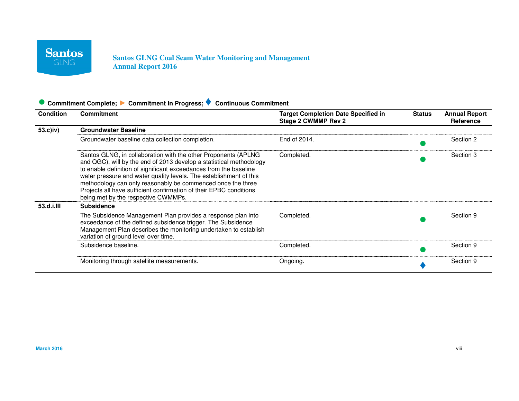

| Condition      | <b>Commitment</b>                                                                                                                                                                                                                                                                                                                                                                                                                                            | <b>Target Completion Date Specified in</b><br>Stage 2 CWMMP Rev 2 | <b>Status</b> | <b>Annual Report</b><br>Reference |  |
|----------------|--------------------------------------------------------------------------------------------------------------------------------------------------------------------------------------------------------------------------------------------------------------------------------------------------------------------------------------------------------------------------------------------------------------------------------------------------------------|-------------------------------------------------------------------|---------------|-----------------------------------|--|
| $53.c$ ) $iv)$ | <b>Groundwater Baseline</b>                                                                                                                                                                                                                                                                                                                                                                                                                                  |                                                                   |               |                                   |  |
|                | Groundwater baseline data collection completion.                                                                                                                                                                                                                                                                                                                                                                                                             | End of 2014.                                                      |               | Section 2                         |  |
|                | Santos GLNG, in collaboration with the other Proponents (APLNG<br>and QGC), will by the end of 2013 develop a statistical methodology<br>to enable definition of significant exceedances from the baseline<br>water pressure and water quality levels. The establishment of this<br>methodology can only reasonably be commenced once the three<br>Projects all have sufficient confirmation of their EPBC conditions<br>being met by the respective CWMMPs. | Completed.                                                        |               | Section 3                         |  |
| 53.d.i.lll     | <b>Subsidence</b>                                                                                                                                                                                                                                                                                                                                                                                                                                            |                                                                   |               |                                   |  |
|                | The Subsidence Management Plan provides a response plan into<br>exceedance of the defined subsidence trigger. The Subsidence<br>Management Plan describes the monitoring undertaken to establish<br>variation of ground level over time.                                                                                                                                                                                                                     | Completed.                                                        |               | Section 9                         |  |
|                | Subsidence baseline.                                                                                                                                                                                                                                                                                                                                                                                                                                         | Completed.                                                        |               | Section 9                         |  |
|                | Monitoring through satellite measurements.                                                                                                                                                                                                                                                                                                                                                                                                                   | Ongoing.                                                          |               | Section 9                         |  |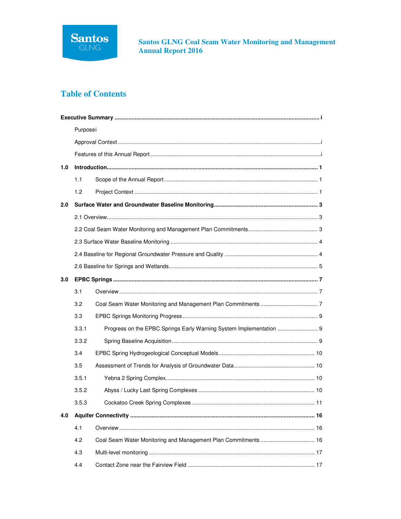

# **Table of Contents**

|     | Purposei |                                                                     |
|-----|----------|---------------------------------------------------------------------|
|     |          |                                                                     |
|     |          |                                                                     |
| 1.0 |          |                                                                     |
|     | 1.1      |                                                                     |
|     | 1.2      |                                                                     |
| 2.0 |          |                                                                     |
|     |          |                                                                     |
|     |          |                                                                     |
|     |          |                                                                     |
|     |          |                                                                     |
|     |          |                                                                     |
| 3.0 |          |                                                                     |
|     | 3.1      |                                                                     |
|     | 3.2      |                                                                     |
|     | 3.3      |                                                                     |
|     | 3.3.1    | Progress on the EPBC Springs Early Warning System Implementation  9 |
|     | 3.3.2    |                                                                     |
|     | 3.4      |                                                                     |
|     | 3.5      |                                                                     |
|     | 3.5.1    |                                                                     |
|     | 3.5.2    |                                                                     |
|     | 3.5.3    |                                                                     |
| 4.0 |          |                                                                     |
|     | 4.1      |                                                                     |
|     | 4.2      | Coal Seam Water Monitoring and Management Plan Commitments  16      |
|     | 4.3      |                                                                     |
|     | 4.4      |                                                                     |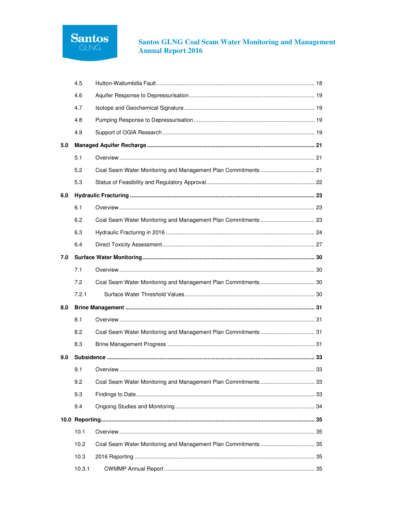

|     | 4.5    |                                                                |  |
|-----|--------|----------------------------------------------------------------|--|
|     | 4.6    |                                                                |  |
|     | 4.7    |                                                                |  |
|     | 4.8    |                                                                |  |
|     | 4.9    |                                                                |  |
| 5.0 |        |                                                                |  |
|     | 5.1    |                                                                |  |
|     | 5.2    |                                                                |  |
|     | 5.3    |                                                                |  |
| 6.0 |        |                                                                |  |
|     | 6.1    |                                                                |  |
|     | 6.2    | Coal Seam Water Monitoring and Management Plan Commitments 23  |  |
|     | 6.3    |                                                                |  |
|     | 6.4    |                                                                |  |
| 7.0 |        |                                                                |  |
|     | 7.1    |                                                                |  |
|     | 7.2    | Coal Seam Water Monitoring and Management Plan Commitments  30 |  |
|     | 7.2.1  |                                                                |  |
| 8.0 |        |                                                                |  |
|     | 8.1    |                                                                |  |
|     | 8.2    |                                                                |  |
|     | 8.3    |                                                                |  |
| 9.0 |        |                                                                |  |
|     | 9.1    |                                                                |  |
|     | 9.2    | Coal Seam Water Monitoring and Management Plan Commitments  33 |  |
|     | 9.3    |                                                                |  |
|     | 9.4    |                                                                |  |
|     |        |                                                                |  |
|     | 10.1   |                                                                |  |
|     | 10.2   | Coal Seam Water Monitoring and Management Plan Commitments  35 |  |
|     | 10.3   |                                                                |  |
|     | 10.3.1 |                                                                |  |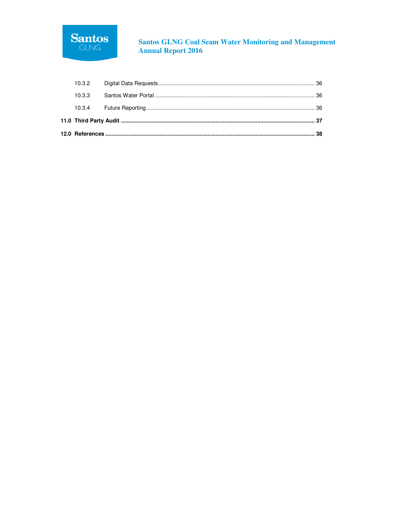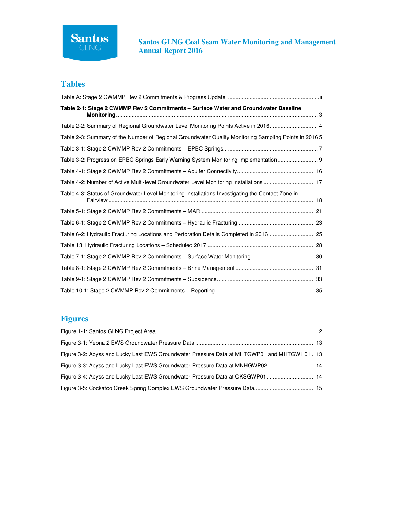

# **Tables**

| Table 2-1: Stage 2 CWMMP Rev 2 Commitments - Surface Water and Groundwater Baseline                   |
|-------------------------------------------------------------------------------------------------------|
| Table 2-2: Summary of Regional Groundwater Level Monitoring Points Active in 2016 4                   |
| Table 2-3: Summary of the Number of Regional Groundwater Quality Monitoring Sampling Points in 2016 5 |
|                                                                                                       |
| Table 3-2: Progress on EPBC Springs Early Warning System Monitoring Implementation 9                  |
|                                                                                                       |
| Table 4-2: Number of Active Multi-level Groundwater Level Monitoring Installations  17                |
| Table 4-3: Status of Groundwater Level Monitoring Installations Investigating the Contact Zone in     |
|                                                                                                       |
|                                                                                                       |
| Table 6-2: Hydraulic Fracturing Locations and Perforation Details Completed in 2016 25                |
|                                                                                                       |
|                                                                                                       |
|                                                                                                       |
|                                                                                                       |
|                                                                                                       |

# **Figures**

| Figure 3-2: Abyss and Lucky Last EWS Groundwater Pressure Data at MHTGWP01 and MHTGWH01  13 |  |
|---------------------------------------------------------------------------------------------|--|
| Figure 3-3: Abyss and Lucky Last EWS Groundwater Pressure Data at MNHGWP02  14              |  |
| Figure 3-4: Abyss and Lucky Last EWS Groundwater Pressure Data at OKSGWP01 14               |  |
|                                                                                             |  |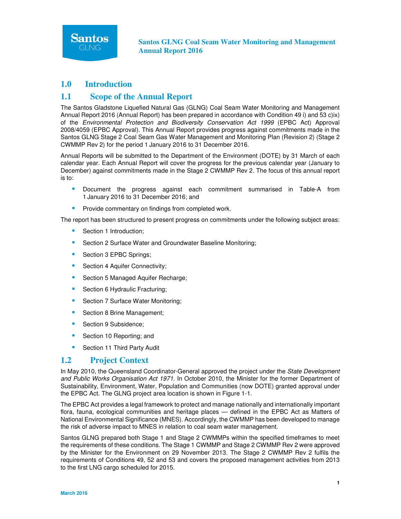

#### **1.0 Introduction**

#### **1.1 Scope of the Annual Report**

The Santos Gladstone Liquefied Natural Gas (GLNG) Coal Seam Water Monitoring and Management Annual Report 2016 (Annual Report) has been prepared in accordance with Condition 49 i) and 53 c)ix) of the *Environmental Protection and Biodiversity Conservation Act 1999* (EPBC Act) Approval 2008/4059 (EPBC Approval). This Annual Report provides progress against commitments made in the Santos GLNG Stage 2 Coal Seam Gas Water Management and Monitoring Plan (Revision 2) (Stage 2 CWMMP Rev 2) for the period 1 January 2016 to 31 December 2016.

Annual Reports will be submitted to the Department of the Environment (DOTE) by 31 March of each calendar year. Each Annual Report will cover the progress for the previous calendar year (January to December) against commitments made in the Stage 2 CWMMP Rev 2. The focus of this annual report is to:

- **Document the progress against each commitment summarised in Table-A from** 1 January 2016 to 31 December 2016; and
- **Provide commentary on findings from completed work.**

The report has been structured to present progress on commitments under the following subject areas:

- Section 1 Introduction;
- Section 2 Surface Water and Groundwater Baseline Monitoring;
- Section 3 EPBC Springs;
- **Section 4 Aquifer Connectivity;**
- Section 5 Managed Aquifer Recharge;
- Section 6 Hydraulic Fracturing;
- Section 7 Surface Water Monitoring;
- Section 8 Brine Management;
- Section 9 Subsidence;
- Section 10 Reporting; and
- **Section 11 Third Party Audit**

#### **1.2 Project Context**

In May 2010, the Queensland Coordinator-General approved the project under the *State Development and Public Works Organisation Act 1971*. In October 2010, the Minister for the former Department of Sustainability, Environment, Water, Population and Communities (now DOTE) granted approval under the EPBC Act. The GLNG project area location is shown in Figure 1-1.

The EPBC Act provides a legal framework to protect and manage nationally and internationally important flora, fauna, ecological communities and heritage places — defined in the EPBC Act as Matters of National Environmental Significance (MNES). Accordingly, the CWMMP has been developed to manage the risk of adverse impact to MNES in relation to coal seam water management.

Santos GLNG prepared both Stage 1 and Stage 2 CWMMPs within the specified timeframes to meet the requirements of these conditions. The Stage 1 CWMMP and Stage 2 CWMMP Rev 2 were approved by the Minister for the Environment on 29 November 2013. The Stage 2 CWMMP Rev 2 fulfils the requirements of Conditions 49, 52 and 53 and covers the proposed management activities from 2013 to the first LNG cargo scheduled for 2015.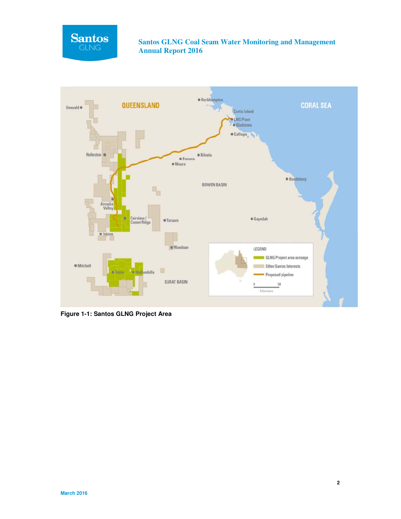



**Figure 1-1: Santos GLNG Project Area**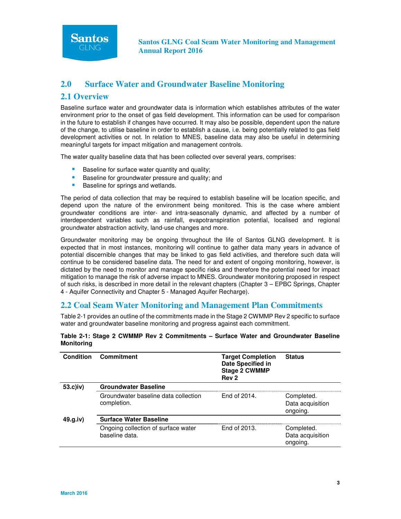

### **2.0 Surface Water and Groundwater Baseline Monitoring**

### **2.1 Overview**

**Santos** 

Baseline surface water and groundwater data is information which establishes attributes of the water environment prior to the onset of gas field development. This information can be used for comparison in the future to establish if changes have occurred. It may also be possible, dependent upon the nature of the change, to utilise baseline in order to establish a cause, i.e. being potentially related to gas field development activities or not. In relation to MNES, baseline data may also be useful in determining meaningful targets for impact mitigation and management controls.

The water quality baseline data that has been collected over several years, comprises:

- Baseline for surface water quantity and quality;
- Baseline for groundwater pressure and quality; and
- **Baseline for springs and wetlands.**

The period of data collection that may be required to establish baseline will be location specific, and depend upon the nature of the environment being monitored. This is the case where ambient groundwater conditions are inter- and intra-seasonally dynamic, and affected by a number of interdependent variables such as rainfall, evapotranspiration potential, localised and regional groundwater abstraction activity, land-use changes and more.

Groundwater monitoring may be ongoing throughout the life of Santos GLNG development. It is expected that in most instances, monitoring will continue to gather data many years in advance of potential discernible changes that may be linked to gas field activities, and therefore such data will continue to be considered baseline data. The need for and extent of ongoing monitoring, however, is dictated by the need to monitor and manage specific risks and therefore the potential need for impact mitigation to manage the risk of adverse impact to MNES. Groundwater monitoring proposed in respect of such risks, is described in more detail in the relevant chapters (Chapter 3 – EPBC Springs, Chapter 4 - Aquifer Connectivity and Chapter 5 - Managed Aquifer Recharge).

#### **2.2 Coal Seam Water Monitoring and Management Plan Commitments**

Table 2-1 provides an outline of the commitments made in the Stage 2 CWMMP Rev 2 specific to surface water and groundwater baseline monitoring and progress against each commitment.

| Condition      | <b>Commitment</b>                                     | <b>Target Completion</b><br>Date Specified in<br><b>Stage 2 CWMMP</b><br>Rev <sub>2</sub> | <b>Status</b>                              |  |  |  |
|----------------|-------------------------------------------------------|-------------------------------------------------------------------------------------------|--------------------------------------------|--|--|--|
| $53.c$ ) $iv)$ | <b>Groundwater Baseline</b>                           |                                                                                           |                                            |  |  |  |
|                | Groundwater baseline data collection<br>completion.   | End of 2014.                                                                              | Completed.<br>Data acquisition<br>ongoing. |  |  |  |
| 49.g.iv)       | <b>Surface Water Baseline</b>                         |                                                                                           |                                            |  |  |  |
|                | Ongoing collection of surface water<br>baseline data. | End of 2013.                                                                              | Completed.<br>Data acquisition<br>ongoing. |  |  |  |

**Table 2-1: Stage 2 CWMMP Rev 2 Commitments – Surface Water and Groundwater Baseline Monitoring**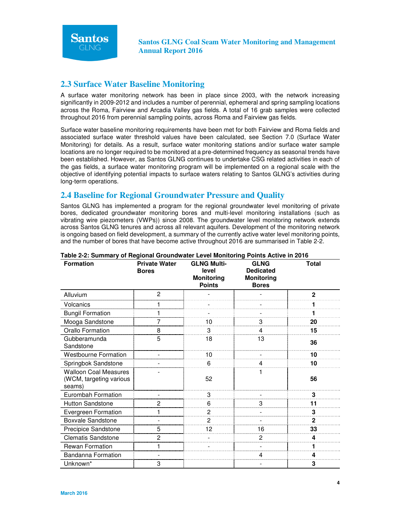## **2.3 Surface Water Baseline Monitoring**

A surface water monitoring network has been in place since 2003, with the network increasing significantly in 2009-2012 and includes a number of perennial, ephemeral and spring sampling locations across the Roma, Fairview and Arcadia Valley gas fields. A total of 16 grab samples were collected throughout 2016 from perennial sampling points, across Roma and Fairview gas fields.

Surface water baseline monitoring requirements have been met for both Fairview and Roma fields and associated surface water threshold values have been calculated, see Section 7.0 (Surface Water Monitoring) for details. As a result, surface water monitoring stations and/or surface water sample locations are no longer required to be monitored at a pre-determined frequency as seasonal trends have been established. However, as Santos GLNG continues to undertake CSG related activities in each of the gas fields, a surface water monitoring program will be implemented on a regional scale with the objective of identifying potential impacts to surface waters relating to Santos GLNG's activities during long-term operations.

#### **2.4 Baseline for Regional Groundwater Pressure and Quality**

Santos GLNG has implemented a program for the regional groundwater level monitoring of private bores, dedicated groundwater monitoring bores and multi-level monitoring installations (such as vibrating wire piezometers (VWPs)) since 2008. The groundwater level monitoring network extends across Santos GLNG tenures and across all relevant aquifers. Development of the monitoring network is ongoing based on field development, a summary of the currently active water level monitoring points, and the number of bores that have become active throughout 2016 are summarised in Table 2-2.

| <b>Formation</b>                                                  | <b>Private Water</b><br><b>Bores</b> | <b>GLNG Multi-</b><br>level<br><b>Monitoring</b><br><b>Points</b> | <b>GLNG</b><br><b>Dedicated</b><br><b>Monitoring</b><br><b>Bores</b> | <b>Total</b> |
|-------------------------------------------------------------------|--------------------------------------|-------------------------------------------------------------------|----------------------------------------------------------------------|--------------|
| Alluvium                                                          | $\overline{c}$                       |                                                                   |                                                                      | $\mathbf{c}$ |
| Volcanics                                                         |                                      |                                                                   |                                                                      |              |
| <b>Bungil Formation</b>                                           |                                      |                                                                   |                                                                      |              |
| Mooga Sandstone                                                   | 7                                    | 10                                                                | 3                                                                    | 20           |
| Orallo Formation                                                  | 8                                    | 3                                                                 | 4                                                                    | 15           |
| Gubberamunda<br>Sandstone                                         | 5                                    | 18                                                                | 13                                                                   | 36           |
| <b>Westbourne Formation</b>                                       |                                      | 10                                                                |                                                                      | 10           |
| Springbok Sandstone                                               |                                      | 6                                                                 |                                                                      | 10           |
| <b>Walloon Coal Measures</b><br>(WCM, targeting various<br>seams) |                                      | 52                                                                |                                                                      | 56           |
| <b>Eurombah Formation</b>                                         |                                      | 3                                                                 |                                                                      | 3            |
| <b>Hutton Sandstone</b>                                           | $\overline{c}$                       | 6                                                                 | 3                                                                    | 11           |
| Evergreen Formation                                               | 1                                    | 2                                                                 |                                                                      | 3            |
| <b>Boxvale Sandstone</b>                                          |                                      | $\overline{c}$                                                    |                                                                      | $\mathbf{2}$ |
| Precipice Sandstone                                               | 5                                    | 12                                                                | 16                                                                   | 33           |
| <b>Clematis Sandstone</b>                                         | $\overline{c}$                       |                                                                   | 2                                                                    | 4            |
| Rewan Formation                                                   |                                      |                                                                   |                                                                      |              |
| <b>Bandanna Formation</b>                                         |                                      |                                                                   |                                                                      |              |
| Unknown*                                                          | 3                                    |                                                                   |                                                                      | 3            |

#### **Table 2-2: Summary of Regional Groundwater Level Monitoring Points Active in 2016**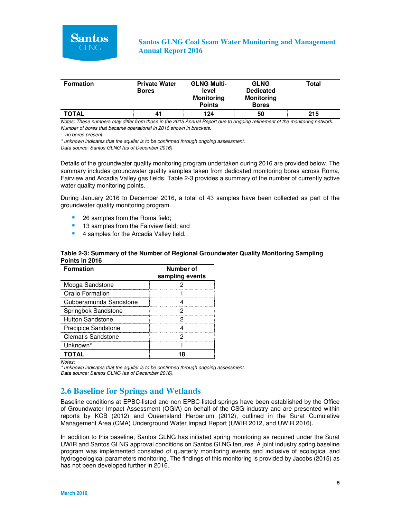| <b>Formation</b> | <b>Private Water</b><br><b>Bores</b> | <b>GLNG Multi-</b><br>level<br><b>Monitoring</b><br><b>Points</b> | <b>GLNG</b><br><b>Dedicated</b><br><b>Monitoring</b><br><b>Bores</b> | Total |
|------------------|--------------------------------------|-------------------------------------------------------------------|----------------------------------------------------------------------|-------|
| TOTAL            | 41                                   | 124                                                               | 50                                                                   | 215   |

*Notes: These numbers may differ from those in the 2015 Annual Report due to ongoing refinement of the monitoring network. Number of bores that became operational in 2016 shown in brackets.* 

*- no bores present.* 

*\* unknown indicates that the aquifer is to be confirmed through ongoing assessment.* 

*Data source: Santos GLNG (as of December 2016).* 

Details of the groundwater quality monitoring program undertaken during 2016 are provided below. The summary includes groundwater quality samples taken from dedicated monitoring bores across Roma, Fairview and Arcadia Valley gas fields. Table 2-3 provides a summary of the number of currently active water quality monitoring points.

During January 2016 to December 2016, a total of 43 samples have been collected as part of the groundwater quality monitoring program.

- 26 samples from the Roma field:
- **13 samples from the Fairview field; and**
- 4 samples for the Arcadia Valley field.

#### **Table 2-3: Summary of the Number of Regional Groundwater Quality Monitoring Sampling Points in 2016**

| <b>Formation</b>          | Number of<br>sampling events |
|---------------------------|------------------------------|
| Mooga Sandstone           |                              |
| Orallo Formation          |                              |
| Gubberamunda Sandstone    |                              |
| Springbok Sandstone       |                              |
| <b>Hutton Sandstone</b>   |                              |
| Precipice Sandstone       |                              |
| <b>Clematis Sandstone</b> |                              |
| Unknown*                  |                              |
| <b>TOTAL</b>              |                              |

*Notes:* 

*\* unknown indicates that the aquifer is to be confirmed through ongoing assessment. Data source: Santos GLNG (as of December 2016).* 

#### **2.6 Baseline for Springs and Wetlands**

Baseline conditions at EPBC-listed and non EPBC-listed springs have been established by the Office of Groundwater Impact Assessment (OGIA) on behalf of the CSG industry and are presented within reports by KCB (2012) and Queensland Herbarium (2012), outlined in the Surat Cumulative Management Area (CMA) Underground Water Impact Report (UWIR 2012, and UWIR 2016).

In addition to this baseline, Santos GLNG has initiated spring monitoring as required under the Surat UWIR and Santos GLNG approval conditions on Santos GLNG tenures. A joint industry spring baseline program was implemented consisted of quarterly monitoring events and inclusive of ecological and hydrogeological parameters monitoring. The findings of this monitoring is provided by Jacobs (2015) as has not been developed further in 2016.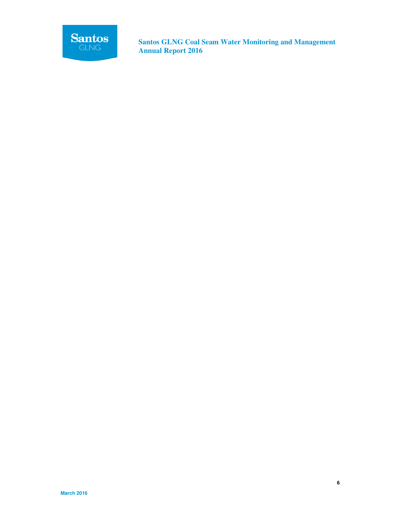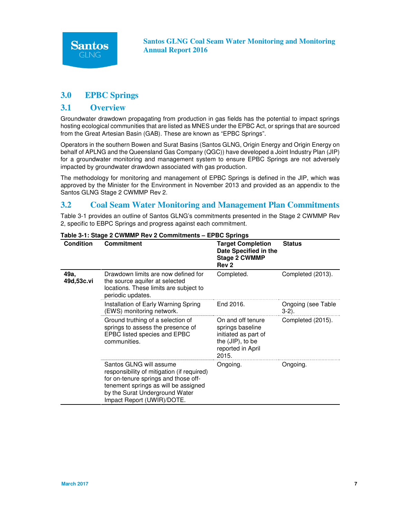

## **3.0 EPBC Springs**

#### **3.1 Overview**

Groundwater drawdown propagating from production in gas fields has the potential to impact springs hosting ecological communities that are listed as MNES under the EPBC Act, or springs that are sourced from the Great Artesian Basin (GAB). These are known as "EPBC Springs".

Operators in the southern Bowen and Surat Basins (Santos GLNG, Origin Energy and Origin Energy on behalf of APLNG and the Queensland Gas Company (QGC)) have developed a Joint Industry Plan (JIP) for a groundwater monitoring and management system to ensure EPBC Springs are not adversely impacted by groundwater drawdown associated with gas production.

The methodology for monitoring and management of EPBC Springs is defined in the JIP, which was approved by the Minister for the Environment in November 2013 and provided as an appendix to the Santos GLNG Stage 2 CWMMP Rev 2.

## **3.2 Coal Seam Water Monitoring and Management Plan Commitments**

Table 3-1 provides an outline of Santos GLNG's commitments presented in the Stage 2 CWMMP Rev 2, specific to EBPC Springs and progress against each commitment.

| <b>Condition</b>   | <b>Commitment</b>                                                                                                                                                                                                     | <b>Target Completion</b><br>Date Specified in the<br><b>Stage 2 CWMMP</b><br>Rev <sub>2</sub>                   | <b>Status</b>                  |
|--------------------|-----------------------------------------------------------------------------------------------------------------------------------------------------------------------------------------------------------------------|-----------------------------------------------------------------------------------------------------------------|--------------------------------|
| 49a,<br>49d,53c.vi | Drawdown limits are now defined for<br>the source aquifer at selected<br>locations. These limits are subject to<br>periodic updates.                                                                                  | Completed.                                                                                                      | Completed (2013).              |
|                    | Installation of Early Warning Spring<br>(EWS) monitoring network.                                                                                                                                                     | End 2016.                                                                                                       | Ongoing (see Table<br>$3-2$ ). |
|                    | Ground truthing of a selection of<br>springs to assess the presence of<br>EPBC listed species and EPBC<br>communities.                                                                                                | On and off tenure<br>springs baseline<br>initiated as part of<br>the (JIP), to be<br>reported in April<br>2015. | Completed (2015).              |
|                    | Santos GLNG will assume<br>responsibility of mitigation (if required)<br>for on-tenure springs and those off-<br>tenement springs as will be assigned<br>by the Surat Underground Water<br>Impact Report (UWIR)/DOTE. | Ongoing.                                                                                                        | Ongoing.                       |

#### **Table 3-1: Stage 2 CWMMP Rev 2 Commitments – EPBC Springs**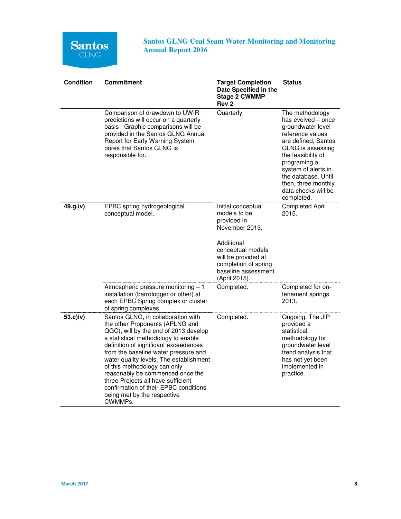

| <b>Condition</b> | <b>Commitment</b>                                                                                                                                                                                                                                                                                                                                                                                                                                                              | <b>Target Completion</b><br>Date Specified in the<br><b>Stage 2 CWMMP</b><br>Rev <sub>2</sub>                                                                                                 | <b>Status</b>                                                                                                                                                                                                                                                              |
|------------------|--------------------------------------------------------------------------------------------------------------------------------------------------------------------------------------------------------------------------------------------------------------------------------------------------------------------------------------------------------------------------------------------------------------------------------------------------------------------------------|-----------------------------------------------------------------------------------------------------------------------------------------------------------------------------------------------|----------------------------------------------------------------------------------------------------------------------------------------------------------------------------------------------------------------------------------------------------------------------------|
|                  | Comparison of drawdown to UWIR<br>predictions will occur on a quarterly<br>basis - Graphic comparisons will be<br>provided in the Santos GLNG Annual<br>Report for Early Warning System<br>bores that Santos GLNG is<br>responsible for.                                                                                                                                                                                                                                       | Quarterly.                                                                                                                                                                                    | The methodology<br>has evolved – once<br>groundwater level<br>reference values<br>are defined, Santos<br>GLNG is assessing<br>the feasibility of<br>programing a<br>system of alerts in<br>the database. Until<br>then, three monthly<br>data checks will be<br>completed. |
| 49.g.iv)         | EPBC spring hydrogeological<br>conceptual model.                                                                                                                                                                                                                                                                                                                                                                                                                               | Initial conceptual<br>models to be<br>provided in<br>November 2013.<br>Additional<br>conceptual models<br>will be provided at<br>completion of spring<br>baseline assessment<br>(April 2015). | <b>Completed April</b><br>2015.                                                                                                                                                                                                                                            |
|                  | Atmospheric pressure monitoring - 1<br>installation (barrologger or other) at<br>each EPBC Spring complex or cluster<br>of spring complexes.                                                                                                                                                                                                                                                                                                                                   | Completed.                                                                                                                                                                                    | Completed for on-<br>tenement springs<br>2013.                                                                                                                                                                                                                             |
| 53.c)iv)         | Santos GLNG, in collaboration with<br>the other Proponents (APLNG and<br>QGC), will by the end of 2013 develop<br>a statistical methodology to enable<br>definition of significant exceedences<br>from the baseline water pressure and<br>water quality levels. The establishment<br>of this methodology can only<br>reasonably be commenced once the<br>three Projects all have sufficient<br>confirmation of their EPBC conditions<br>being met by the respective<br>CWMMPs. | Completed.                                                                                                                                                                                    | Ongoing. The JIP<br>provided a<br>statistical<br>methodology for<br>groundwater level<br>trend analysis that<br>has not yet been<br>implemented in<br>practice.                                                                                                            |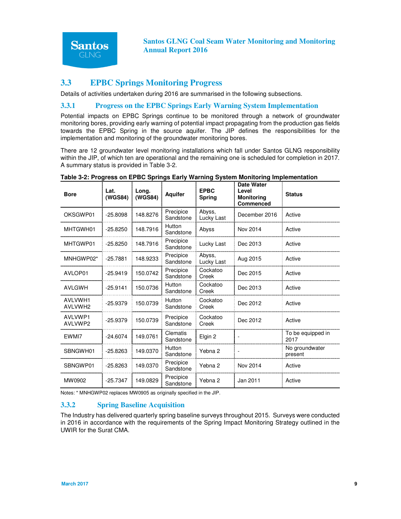**Santos GLNG** 

**Santos GLNG Coal Seam Water Monitoring and Monitoring Annual Report 2016** 

# **3.3 EPBC Springs Monitoring Progress**

Details of activities undertaken during 2016 are summarised in the following subsections.

#### **3.3.1 Progress on the EPBC Springs Early Warning System Implementation**

Potential impacts on EPBC Springs continue to be monitored through a network of groundwater monitoring bores, providing early warning of potential impact propagating from the production gas fields towards the EPBC Spring in the source aquifer. The JIP defines the responsibilities for the implementation and monitoring of the groundwater monitoring bores.

There are 12 groundwater level monitoring installations which fall under Santos GLNG responsibility within the JIP, of which ten are operational and the remaining one is scheduled for completion in 2017. A summary status is provided in Table 3-2.

| <b>Bore</b>               | Lat.<br>(WGS84) | Long.<br>(WGS84) | <b>Aquifer</b>         | <b>EPBC</b><br>Spring | <b>Date Water</b><br>Level<br><b>Monitoring</b><br>Commenced | <b>Status</b>             |
|---------------------------|-----------------|------------------|------------------------|-----------------------|--------------------------------------------------------------|---------------------------|
| OKSGWP01                  | $-25.8098$      | 148.8276         | Precipice<br>Sandstone | Abyss,<br>Lucky Last  | December 2016                                                | Active                    |
| MHTGWH01                  | $-25.8250$      | 148.7916         | Hutton<br>Sandstone    | Abyss                 | Nov 2014                                                     | Active                    |
| MHTGWP01                  | $-25.8250$      | 148.7916         | Precipice<br>Sandstone | Lucky Last            | Dec 2013                                                     | Active                    |
| MNHGWP02*                 | $-25.7881$      | 148.9233         | Precipice<br>Sandstone | Abyss,<br>Lucky Last  | Aug 2015                                                     | Active                    |
| AVLOP01                   | $-25.9419$      | 150.0742         | Precipice<br>Sandstone | Cockatoo<br>Creek     | Dec 2015                                                     | Active                    |
| <b>AVLGWH</b>             | $-25.9141$      | 150.0736         | Hutton<br>Sandstone    | Cockatoo<br>Creek     | Dec 2013                                                     | Active                    |
| AVLVWH1<br>AVLVWH2        | $-25.9379$      | 150.0739         | Hutton<br>Sandstone    | Cockatoo<br>Creek     | Dec 2012                                                     | Active                    |
| <b>AVLVWP1</b><br>AVLVWP2 | $-25.9379$      | 150.0739         | Precipice<br>Sandstone | Cockatoo<br>Creek     | Dec 2012                                                     | Active                    |
| EWMI7                     | $-24.6074$      | 149.0761         | Clematis<br>Sandstone  | Elgin 2               |                                                              | To be equipped in<br>2017 |
| SBNGWH01                  | $-25.8263$      | 149.0370         | Hutton<br>Sandstone    | Yebna 2               |                                                              | No groundwater<br>present |
| SBNGWP01                  | $-25.8263$      | 149.0370         | Precipice<br>Sandstone | Yebna 2               | Nov 2014                                                     | Active                    |
| MW0902                    | $-25.7347$      | 149.0829         | Precipice<br>Sandstone | Yebna 2               | Jan 2011                                                     | Active                    |

#### **Table 3-2: Progress on EPBC Springs Early Warning System Monitoring Implementation**

Notes: \* MNHGWP02 replaces MW0905 as originally specified in the JIP.

#### **3.3.2 Spring Baseline Acquisition**

The Industry has delivered quarterly spring baseline surveys throughout 2015. Surveys were conducted in 2016 in accordance with the requirements of the Spring Impact Monitoring Strategy outlined in the UWIR for the Surat CMA.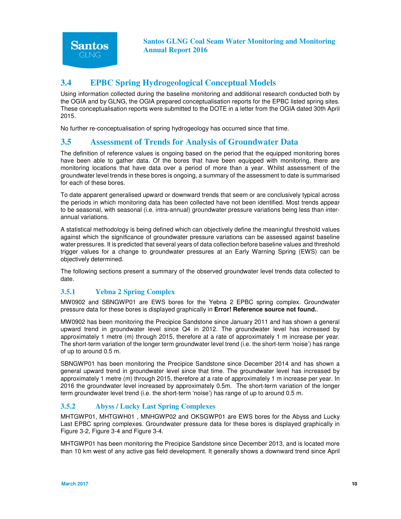**Santos GLNG** 

# **3.4 EPBC Spring Hydrogeological Conceptual Models**

Using information collected during the baseline monitoring and additional research conducted both by the OGIA and by GLNG, the OGIA prepared conceptualisation reports for the EPBC listed spring sites. These conceptualisation reports were submitted to the DOTE in a letter from the OGIA dated 30th April 2015.

No further re-conceptualisation of spring hydrogeology has occurred since that time.

#### **3.5 Assessment of Trends for Analysis of Groundwater Data**

The definition of reference values is ongoing based on the period that the equipped monitoring bores have been able to gather data. Of the bores that have been equipped with monitoring, there are monitoring locations that have data over a period of more than a year. Whilst assessment of the groundwater level trends in these bores is ongoing, a summary of the assessment to date is summarised for each of these bores.

To date apparent generalised upward or downward trends that seem or are conclusively typical across the periods in which monitoring data has been collected have not been identified. Most trends appear to be seasonal, with seasonal (i.e. intra-annual) groundwater pressure variations being less than interannual variations.

A statistical methodology is being defined which can objectively define the meaningful threshold values against which the significance of groundwater pressure variations can be assessed against baseline water pressures. It is predicted that several years of data collection before baseline values and threshold trigger values for a change to groundwater pressures at an Early Warning Spring (EWS) can be objectively determined.

The following sections present a summary of the observed groundwater level trends data collected to date.

#### **3.5.1 Yebna 2 Spring Complex**

MW0902 and SBNGWP01 are EWS bores for the Yebna 2 EPBC spring complex. Groundwater pressure data for these bores is displayed graphically in **Error! Reference source not found.**.

MW0902 has been monitoring the Precipice Sandstone since January 2011 and has shown a general upward trend in groundwater level since Q4 in 2012. The groundwater level has increased by approximately 1 metre (m) through 2015, therefore at a rate of approximately 1 m increase per year. The short-term variation of the longer term groundwater level trend (i.e. the short-term 'noise') has range of up to around 0.5 m.

SBNGWP01 has been monitoring the Precipice Sandstone since December 2014 and has shown a general upward trend in groundwater level since that time. The groundwater level has increased by approximately 1 metre (m) through 2015, therefore at a rate of approximately 1 m increase per year. In 2016 the groundwater level increased by approximately 0.5m. The short-term variation of the longer term groundwater level trend (i.e. the short-term 'noise') has range of up to around 0.5 m.

#### **3.5.2 Abyss / Lucky Last Spring Complexes**

MHTGWP01, MHTGWH01 , MNHGWP02 and OKSGWP01 are EWS bores for the Abyss and Lucky Last EPBC spring complexes. Groundwater pressure data for these bores is displayed graphically in Figure 3-2, Figure 3-4 and Figure 3-4.

MHTGWP01 has been monitoring the Precipice Sandstone since December 2013, and is located more than 10 km west of any active gas field development. It generally shows a downward trend since April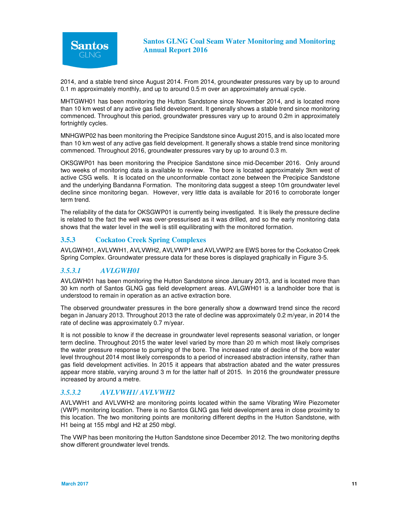

2014, and a stable trend since August 2014. From 2014, groundwater pressures vary by up to around 0.1 m approximately monthly, and up to around 0.5 m over an approximately annual cycle.

MHTGWH01 has been monitoring the Hutton Sandstone since November 2014, and is located more than 10 km west of any active gas field development. It generally shows a stable trend since monitoring commenced. Throughout this period, groundwater pressures vary up to around 0.2m in approximately fortnightly cycles.

MNHGWP02 has been monitoring the Precipice Sandstone since August 2015, and is also located more than 10 km west of any active gas field development. It generally shows a stable trend since monitoring commenced. Throughout 2016, groundwater pressures vary by up to around 0.3 m.

OKSGWP01 has been monitoring the Precipice Sandstone since mid-December 2016. Only around two weeks of monitoring data is available to review. The bore is located approximately 3km west of active CSG wells. It is located on the unconformable contact zone between the Precipice Sandstone and the underlying Bandanna Formation. The monitoring data suggest a steep 10m groundwater level decline since monitoring began. However, very little data is available for 2016 to corroborate longer term trend.

The reliability of the data for OKSGWP01 is currently being investigated. It is likely the pressure decline is related to the fact the well was over-pressurised as it was drilled, and so the early monitoring data shows that the water level in the well is still equilibrating with the monitored formation.

#### **3.5.3 Cockatoo Creek Spring Complexes**

AVLGWH01, AVLVWH1, AVLVWH2, AVLVWP1 and AVLVWP2 are EWS bores for the Cockatoo Creek Spring Complex. Groundwater pressure data for these bores is displayed graphically in Figure 3-5.

#### *3.5.3.1 AVLGWH01*

AVLGWH01 has been monitoring the Hutton Sandstone since January 2013, and is located more than 30 km north of Santos GLNG gas field development areas. AVLGWH01 is a landholder bore that is understood to remain in operation as an active extraction bore.

The observed groundwater pressures in the bore generally show a downward trend since the record began in January 2013. Throughout 2013 the rate of decline was approximately 0.2 m/year, in 2014 the rate of decline was approximately 0.7 m/year.

It is not possible to know if the decrease in groundwater level represents seasonal variation, or longer term decline. Throughout 2015 the water level varied by more than 20 m which most likely comprises the water pressure response to pumping of the bore. The increased rate of decline of the bore water level throughout 2014 most likely corresponds to a period of increased abstraction intensity, rather than gas field development activities. In 2015 it appears that abstraction abated and the water pressures appear more stable, varying around 3 m for the latter half of 2015. In 2016 the groundwater pressure increased by around a metre.

#### *3.5.3.2 AVLVWH1/ AVLVWH2*

AVLVWH1 and AVLVWH2 are monitoring points located within the same Vibrating Wire Piezometer (VWP) monitoring location. There is no Santos GLNG gas field development area in close proximity to this location. The two monitoring points are monitoring different depths in the Hutton Sandstone, with H1 being at 155 mbgl and H2 at 250 mbgl.

The VWP has been monitoring the Hutton Sandstone since December 2012. The two monitoring depths show different groundwater level trends.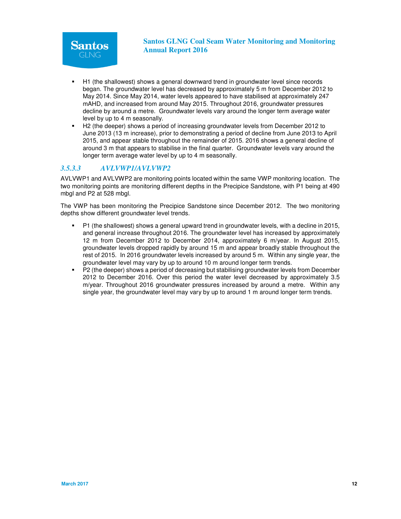

- H1 (the shallowest) shows a general downward trend in groundwater level since records began. The groundwater level has decreased by approximately 5 m from December 2012 to May 2014. Since May 2014, water levels appeared to have stabilised at approximately 247 mAHD, and increased from around May 2015. Throughout 2016, groundwater pressures decline by around a metre. Groundwater levels vary around the longer term average water level by up to 4 m seasonally.
- **H2** (the deeper) shows a period of increasing groundwater levels from December 2012 to June 2013 (13 m increase), prior to demonstrating a period of decline from June 2013 to April 2015, and appear stable throughout the remainder of 2015. 2016 shows a general decline of around 3 m that appears to stabilise in the final quarter. Groundwater levels vary around the longer term average water level by up to 4 m seasonally.

#### *3.5.3.3 AVLVWP1/AVLVWP2*

AVLVWP1 and AVLVWP2 are monitoring points located within the same VWP monitoring location. The two monitoring points are monitoring different depths in the Precipice Sandstone, with P1 being at 490 mbgl and P2 at 528 mbgl.

The VWP has been monitoring the Precipice Sandstone since December 2012. The two monitoring depths show different groundwater level trends.

- P1 (the shallowest) shows a general upward trend in groundwater levels, with a decline in 2015, and general increase throughout 2016. The groundwater level has increased by approximately 12 m from December 2012 to December 2014, approximately 6 m/year. In August 2015, groundwater levels dropped rapidly by around 15 m and appear broadly stable throughout the rest of 2015. In 2016 groundwater levels increased by around 5 m. Within any single year, the groundwater level may vary by up to around 10 m around longer term trends.
- P2 (the deeper) shows a period of decreasing but stabilising groundwater levels from December 2012 to December 2016. Over this period the water level decreased by approximately 3.5 m/year. Throughout 2016 groundwater pressures increased by around a metre. Within any single year, the groundwater level may vary by up to around 1 m around longer term trends.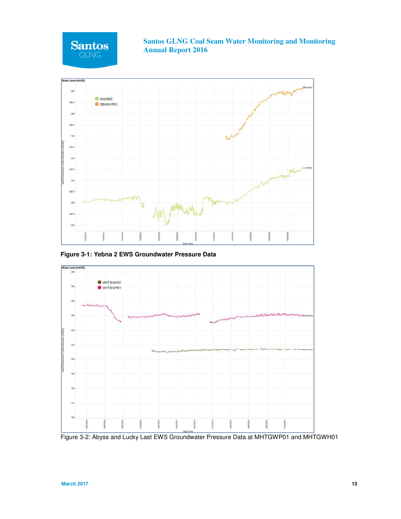



**Figure 3-1: Yebna 2 EWS Groundwater Pressure Data** 



Figure 3-2: Abyss and Lucky Last EWS Groundwater Pressure Data at MHTGWP01 and MHTGWH01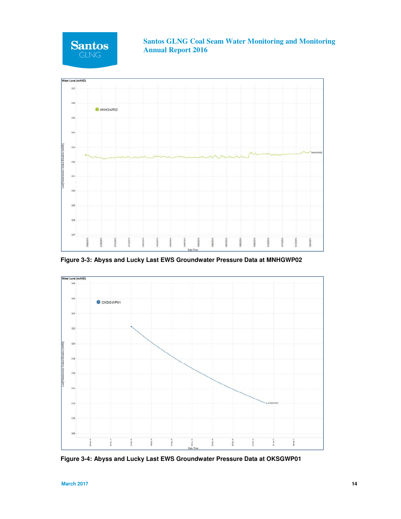



**Figure 3-3: Abyss and Lucky Last EWS Groundwater Pressure Data at MNHGWP02** 



**Figure 3-4: Abyss and Lucky Last EWS Groundwater Pressure Data at OKSGWP01**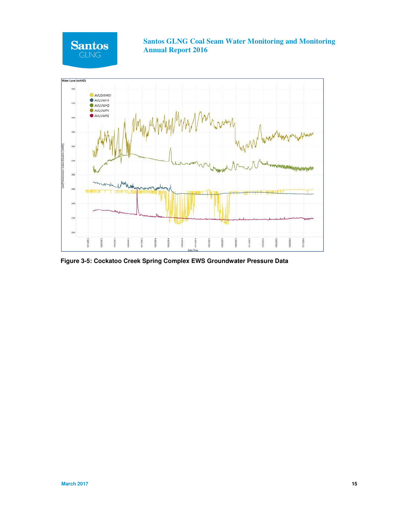



**Figure 3-5: Cockatoo Creek Spring Complex EWS Groundwater Pressure Data**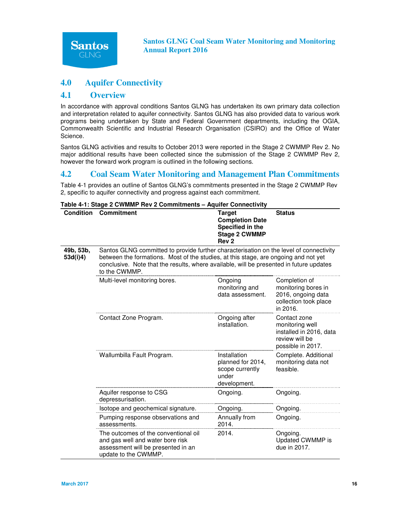

# **4.0 Aquifer Connectivity**

#### **4.1 Overview**

In accordance with approval conditions Santos GLNG has undertaken its own primary data collection and interpretation related to aquifer connectivity. Santos GLNG has also provided data to various work programs being undertaken by State and Federal Government departments, including the OGIA, Commonwealth Scientific and Industrial Research Organisation (CSIRO) and the Office of Water Science.

Santos GLNG activities and results to October 2013 were reported in the Stage 2 CWMMP Rev 2. No major additional results have been collected since the submission of the Stage 2 CWMMP Rev 2, however the forward work program is outlined in the following sections.

# **4.2 Coal Seam Water Monitoring and Management Plan Commitments**

Table 4-1 provides an outline of Santos GLNG's commitments presented in the Stage 2 CWMMP Rev 2, specific to aquifer connectivity and progress against each commitment.

| <b>Condition</b>      | <b>Commitment</b>                                                                                                                                                                                                                                                                         | <b>Target</b><br><b>Completion Date</b><br>Specified in the<br><b>Stage 2 CWMMP</b><br>Rev <sub>2</sub> | <b>Status</b>                                                                                     |  |  |  |  |
|-----------------------|-------------------------------------------------------------------------------------------------------------------------------------------------------------------------------------------------------------------------------------------------------------------------------------------|---------------------------------------------------------------------------------------------------------|---------------------------------------------------------------------------------------------------|--|--|--|--|
| 49b, 53b,<br>53d(i)4) | Santos GLNG committed to provide further characterisation on the level of connectivity<br>between the formations. Most of the studies, at this stage, are ongoing and not yet<br>conclusive. Note that the results, where available, will be presented in future updates<br>to the CWMMP. |                                                                                                         |                                                                                                   |  |  |  |  |
|                       | Multi-level monitoring bores.                                                                                                                                                                                                                                                             | Ongoing<br>monitoring and<br>data assessment.                                                           | Completion of<br>monitoring bores in<br>2016, ongoing data<br>collection took place<br>in 2016.   |  |  |  |  |
|                       | Contact Zone Program.                                                                                                                                                                                                                                                                     | Ongoing after<br>installation.                                                                          | Contact zone<br>monitoring well<br>installed in 2016, data<br>review will be<br>possible in 2017. |  |  |  |  |
|                       | Wallumbilla Fault Program.                                                                                                                                                                                                                                                                | Installation<br>planned for 2014,<br>scope currently<br>under<br>development.                           | Complete. Additional<br>monitoring data not<br>feasible.                                          |  |  |  |  |
|                       | Aquifer response to CSG<br>depressurisation.                                                                                                                                                                                                                                              | Ongoing.                                                                                                | Ongoing.                                                                                          |  |  |  |  |
|                       | Isotope and geochemical signature.                                                                                                                                                                                                                                                        | Ongoing.                                                                                                | Ongoing.                                                                                          |  |  |  |  |
|                       | Pumping response observations and<br>assessments.                                                                                                                                                                                                                                         | Annually from<br>2014.                                                                                  | Ongoing.                                                                                          |  |  |  |  |
|                       | The outcomes of the conventional oil<br>and gas well and water bore risk<br>assessment will be presented in an<br>update to the CWMMP.                                                                                                                                                    | 2014.                                                                                                   | Ongoing.<br>Updated CWMMP is<br>due in 2017.                                                      |  |  |  |  |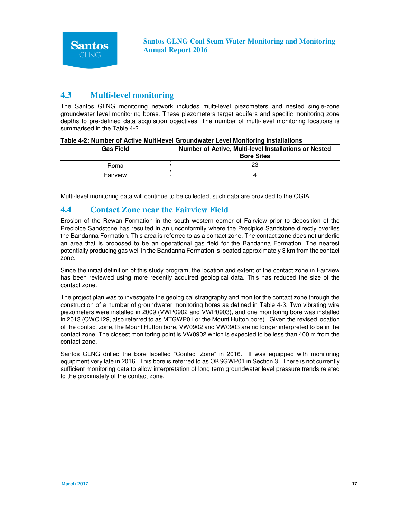

# **4.3 Multi-level monitoring**

The Santos GLNG monitoring network includes multi-level piezometers and nested single-zone groundwater level monitoring bores. These piezometers target aquifers and specific monitoring zone depths to pre-defined data acquisition objectives. The number of multi-level monitoring locations is summarised in the Table 4-2.

| <b>Gas Field</b> | Number of Active, Multi-level Installations or Nested<br><b>Bore Sites</b> |  |
|------------------|----------------------------------------------------------------------------|--|
| <b>Roma</b>      |                                                                            |  |
| Fairview         |                                                                            |  |

Multi-level monitoring data will continue to be collected, such data are provided to the OGIA.

#### **4.4 Contact Zone near the Fairview Field**

Erosion of the Rewan Formation in the south western corner of Fairview prior to deposition of the Precipice Sandstone has resulted in an unconformity where the Precipice Sandstone directly overlies the Bandanna Formation. This area is referred to as a contact zone. The contact zone does not underlie an area that is proposed to be an operational gas field for the Bandanna Formation. The nearest potentially producing gas well in the Bandanna Formation is located approximately 3 km from the contact zone.

Since the initial definition of this study program, the location and extent of the contact zone in Fairview has been reviewed using more recently acquired geological data. This has reduced the size of the contact zone.

The project plan was to investigate the geological stratigraphy and monitor the contact zone through the construction of a number of groundwater monitoring bores as defined in Table 4-3. Two vibrating wire piezometers were installed in 2009 (VWP0902 and VWP0903), and one monitoring bore was installed in 2013 (QWC129, also referred to as MTGWP01 or the Mount Hutton bore). Given the revised location of the contact zone, the Mount Hutton bore, VW0902 and VW0903 are no longer interpreted to be in the contact zone. The closest monitoring point is VW0902 which is expected to be less than 400 m from the contact zone.

Santos GLNG drilled the bore labelled "Contact Zone" in 2016. It was equipped with monitoring equipment very late in 2016. This bore is referred to as OKSGWP01 in Section 3. There is not currently sufficient monitoring data to allow interpretation of long term groundwater level pressure trends related to the proximately of the contact zone.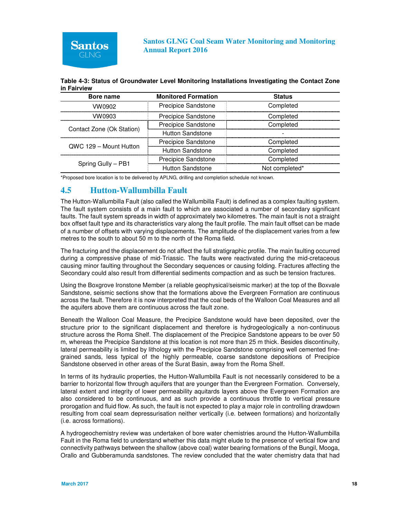

**Table 4-3: Status of Groundwater Level Monitoring Installations Investigating the Contact Zone in Fairview** 

| Bore name                 | <b>Monitored Formation</b> | Status         |
|---------------------------|----------------------------|----------------|
| VW0902                    | <b>Precipice Sandstone</b> | Completed      |
| VW0903                    | <b>Precipice Sandstone</b> | Completed      |
| Contact Zone (Ok Station) | <b>Precipice Sandstone</b> | Completed      |
|                           | Hutton Sandstone           |                |
| OWC 129 - Mount Hutton    | <b>Precipice Sandstone</b> | Completed      |
|                           | <b>Hutton Sandstone</b>    | Completed      |
|                           | <b>Precipice Sandstone</b> | Completed      |
| Spring Gully - PB1        | <b>Hutton Sandstone</b>    | Not completed* |

\*Proposed bore location is to be delivered by APLNG, drilling and completion schedule not known.

#### **4.5 Hutton-Wallumbilla Fault**

The Hutton-Wallumbilla Fault (also called the Wallumbilla Fault) is defined as a complex faulting system. The fault system consists of a main fault to which are associated a number of secondary significant faults. The fault system spreads in width of approximately two kilometres. The main fault is not a straight box offset fault type and its characteristics vary along the fault profile. The main fault offset can be made of a number of offsets with varying displacements. The amplitude of the displacement varies from a few metres to the south to about 50 m to the north of the Roma field.

The fracturing and the displacement do not affect the full stratigraphic profile. The main faulting occurred during a compressive phase of mid-Triassic. The faults were reactivated during the mid-cretaceous causing minor faulting throughout the Secondary sequences or causing folding. Fractures affecting the Secondary could also result from differential sediments compaction and as such be tension fractures.

Using the Boxgrove Ironstone Member (a reliable geophysical/seismic marker) at the top of the Boxvale Sandstone, seismic sections show that the formations above the Evergreen Formation are continuous across the fault. Therefore it is now interpreted that the coal beds of the Walloon Coal Measures and all the aquifers above them are continuous across the fault zone.

Beneath the Walloon Coal Measure, the Precipice Sandstone would have been deposited, over the structure prior to the significant displacement and therefore is hydrogeologically a non-continuous structure across the Roma Shelf. The displacement of the Precipice Sandstone appears to be over 50 m, whereas the Precipice Sandstone at this location is not more than 25 m thick. Besides discontinuity, lateral permeability is limited by lithology with the Precipice Sandstone comprising well cemented finegrained sands, less typical of the highly permeable, coarse sandstone depositions of Precipice Sandstone observed in other areas of the Surat Basin, away from the Roma Shelf.

In terms of its hydraulic properties, the Hutton-Wallumbilla Fault is not necessarily considered to be a barrier to horizontal flow through aquifers that are younger than the Evergreen Formation. Conversely, lateral extent and integrity of lower permeability aquitards layers above the Evergreen Formation are also considered to be continuous, and as such provide a continuous throttle to vertical pressure prorogation and fluid flow. As such, the fault is not expected to play a major role in controlling drawdown resulting from coal seam depressurisation neither vertically (i.e. between formations) and horizontally (i.e. across formations).

A hydrogeochemistry review was undertaken of bore water chemistries around the Hutton-Wallumbilla Fault in the Roma field to understand whether this data might elude to the presence of vertical flow and connectivity pathways between the shallow (above coal) water bearing formations of the Bungil, Mooga, Orallo and Gubberamunda sandstones. The review concluded that the water chemistry data that had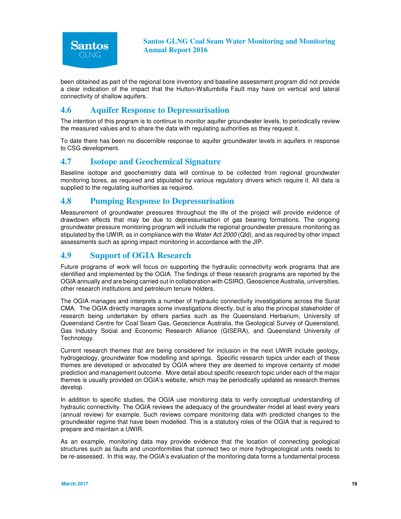

been obtained as part of the regional bore inventory and baseline assessment program did not provide a clear indication of the impact that the Hutton‐Wallumbilla Fault may have on vertical and lateral connectivity of shallow aquifers.

#### **4.6 Aquifer Response to Depressurisation**

The intention of this program is to continue to monitor aquifer groundwater levels, to periodically review the measured values and to share the data with regulating authorities as they request it.

To date there has been no discernible response to aquifer groundwater levels in aquifers in response to CSG development.

#### **4.7 Isotope and Geochemical Signature**

Baseline isotope and geochemistry data will continue to be collected from regional groundwater monitoring bores, as required and stipulated by various regulatory drivers which require it. All data is supplied to the regulating authorities as required.

#### **4.8 Pumping Response to Depressurisation**

Measurement of groundwater pressures throughout the life of the project will provide evidence of drawdown effects that may be due to depressurisation of gas bearing formations. The ongoing groundwater pressure monitoring program will include the regional groundwater pressure monitoring as stipulated by the UWIR, as in compliance with the *Water Act 2000* (Qld)*,* and as required by other impact assessments such as spring impact monitoring in accordance with the JIP.

#### **4.9 Support of OGIA Research**

Future programs of work will focus on supporting the hydraulic connectivity work programs that are identified and implemented by the OGIA. The findings of these research programs are reported by the OGIA annually and are being carried out in collaboration with CSIRO, Geoscience Australia, universities, other research institutions and petroleum tenure holders.

The OGIA manages and interprets a number of hydraulic connectivity investigations across the Surat CMA. The OGIA directly manages some investigations directly, but is also the principal stakeholder of research being undertaken by others parties such as the Queensland Herbarium, University of Queensland Centre for Coal Seam Gas, Geoscience Australia, the Geological Survey of Queensland, Gas Industry Social and Economic Research Alliance (GISERA), and Queensland University of Technology.

Current research themes that are being considered for inclusion in the next UWIR include geology, hydrogeology, groundwater flow modelling and springs. Specific research topics under each of these themes are developed or advocated by OGIA where they are deemed to improve certainty of model prediction and management outcome. More detail about specific research topic under each of the major themes is usually provided on OGIA's website, which may be periodically updated as research themes develop.

In addition to specific studies, the OGIA use monitoring data to verify conceptual understanding of hydraulic connectivity. The OGIA reviews the adequacy of the groundwater model at least every years (annual review) for example. Such reviews compare monitoring data with predicted changes to the groundwater regime that have been modelled. This is a statutory roles of the OGIA that is required to prepare and maintain a UWIR.

As an example, monitoring data may provide evidence that the location of connecting geological structures such as faults and unconformities that connect two or more hydrogeological units needs to be re-assessed. In this way, the OGIA's evaluation of the monitoring data forms a fundamental process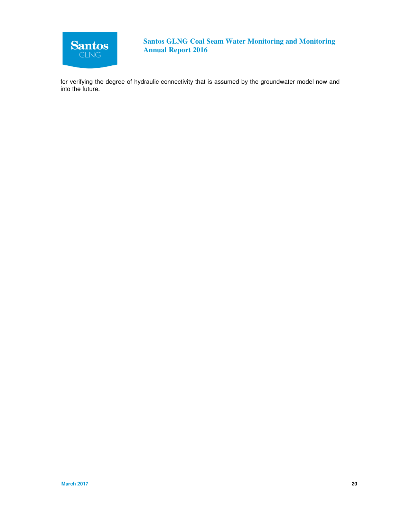

for verifying the degree of hydraulic connectivity that is assumed by the groundwater model now and into the future.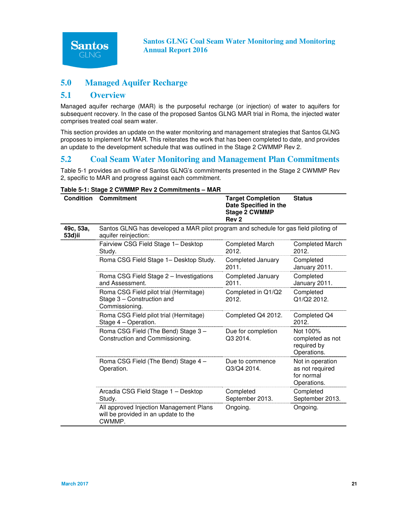

## **5.0 Managed Aquifer Recharge**

#### **5.1 Overview**

Managed aquifer recharge (MAR) is the purposeful recharge (or injection) of water to aquifers for subsequent recovery. In the case of the proposed Santos GLNG MAR trial in Roma, the injected water comprises treated coal seam water.

This section provides an update on the water monitoring and management strategies that Santos GLNG proposes to implement for MAR. This reiterates the work that has been completed to date, and provides an update to the development schedule that was outlined in the Stage 2 CWMMP Rev 2.

## **5.2 Coal Seam Water Monitoring and Management Plan Commitments**

Table 5-1 provides an outline of Santos GLNG's commitments presented in the Stage 2 CWMMP Rev 2, specific to MAR and progress against each commitment.

#### **Table 5-1: Stage 2 CWMMP Rev 2 Commitments – MAR**

| <b>Condition</b>    | <b>Commitment</b>                                                                                            | <b>Target Completion</b><br>Date Specified in the<br><b>Stage 2 CWMMP</b><br>Rev <sub>2</sub> | <b>Status</b>                                                    |
|---------------------|--------------------------------------------------------------------------------------------------------------|-----------------------------------------------------------------------------------------------|------------------------------------------------------------------|
| 49с, 53а,<br>53d)ii | Santos GLNG has developed a MAR pilot program and schedule for gas field piloting of<br>aquifer reinjection: |                                                                                               |                                                                  |
|                     | Fairview CSG Field Stage 1- Desktop<br>Study.                                                                | <b>Completed March</b><br>2012.                                                               | Completed March<br>2012.                                         |
|                     | Roma CSG Field Stage 1- Desktop Study.                                                                       | Completed January<br>2011.                                                                    | Completed<br>January 2011.                                       |
|                     | Roma CSG Field Stage 2 - Investigations<br>and Assessment.                                                   | Completed January<br>2011.                                                                    | Completed<br>January 2011.                                       |
|                     | Roma CSG Field pilot trial (Hermitage)<br>Stage 3 - Construction and<br>Commissioning.                       | Completed in Q1/Q2<br>2012.                                                                   | Completed<br>Q1/Q2 2012.                                         |
|                     | Roma CSG Field pilot trial (Hermitage)<br>Stage 4 - Operation.                                               | Completed Q4 2012.                                                                            | Completed Q4<br>2012.                                            |
|                     | Roma CSG Field (The Bend) Stage 3-<br>Construction and Commissioning.                                        | Due for completion<br>Q3 2014.                                                                | Not 100%<br>completed as not<br>required by<br>Operations.       |
|                     | Roma CSG Field (The Bend) Stage 4 -<br>Operation.                                                            | Due to commence<br>Q3/Q4 2014.                                                                | Not in operation<br>as not required<br>for normal<br>Operations. |
|                     | Arcadia CSG Field Stage 1 - Desktop<br>Study.                                                                | Completed<br>September 2013.                                                                  | Completed<br>September 2013.                                     |
|                     | All approved Injection Management Plans<br>will be provided in an update to the<br>CWMMP.                    | Ongoing.                                                                                      | Ongoing.                                                         |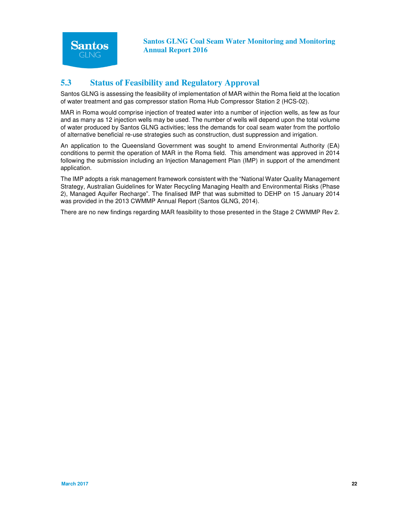**Santos GLNG** 

**Santos GLNG Coal Seam Water Monitoring and Monitoring Annual Report 2016** 

# **5.3 Status of Feasibility and Regulatory Approval**

Santos GLNG is assessing the feasibility of implementation of MAR within the Roma field at the location of water treatment and gas compressor station Roma Hub Compressor Station 2 (HCS-02).

MAR in Roma would comprise injection of treated water into a number of injection wells, as few as four and as many as 12 injection wells may be used. The number of wells will depend upon the total volume of water produced by Santos GLNG activities; less the demands for coal seam water from the portfolio of alternative beneficial re-use strategies such as construction, dust suppression and irrigation.

An application to the Queensland Government was sought to amend Environmental Authority (EA) conditions to permit the operation of MAR in the Roma field. This amendment was approved in 2014 following the submission including an Injection Management Plan (IMP) in support of the amendment application.

The IMP adopts a risk management framework consistent with the "National Water Quality Management Strategy, Australian Guidelines for Water Recycling Managing Health and Environmental Risks (Phase 2), Managed Aquifer Recharge". The finalised IMP that was submitted to DEHP on 15 January 2014 was provided in the 2013 CWMMP Annual Report (Santos GLNG, 2014).

There are no new findings regarding MAR feasibility to those presented in the Stage 2 CWMMP Rev 2.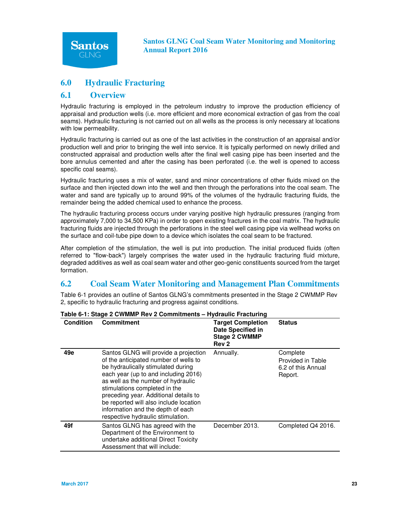

# **6.0 Hydraulic Fracturing**

#### **6.1 Overview**

Hydraulic fracturing is employed in the petroleum industry to improve the production efficiency of appraisal and production wells (i.e. more efficient and more economical extraction of gas from the coal seams). Hydraulic fracturing is not carried out on all wells as the process is only necessary at locations with low permeability.

Hydraulic fracturing is carried out as one of the last activities in the construction of an appraisal and/or production well and prior to bringing the well into service. It is typically performed on newly drilled and constructed appraisal and production wells after the final well casing pipe has been inserted and the bore annulus cemented and after the casing has been perforated (i.e. the well is opened to access specific coal seams).

Hydraulic fracturing uses a mix of water, sand and minor concentrations of other fluids mixed on the surface and then injected down into the well and then through the perforations into the coal seam. The water and sand are typically up to around 99% of the volumes of the hydraulic fracturing fluids, the remainder being the added chemical used to enhance the process.

The hydraulic fracturing process occurs under varying positive high hydraulic pressures (ranging from approximately 7,000 to 34,500 KPa) in order to open existing fractures in the coal matrix. The hydraulic fracturing fluids are injected through the perforations in the steel well casing pipe via wellhead works on the surface and coil-tube pipe down to a device which isolates the coal seam to be fractured.

After completion of the stimulation, the well is put into production. The initial produced fluids (often referred to "flow-back") largely comprises the water used in the hydraulic fracturing fluid mixture, degraded additives as well as coal seam water and other geo-genic constituents sourced from the target formation.

# **6.2 Coal Seam Water Monitoring and Management Plan Commitments**

Table 6-1 provides an outline of Santos GLNG's commitments presented in the Stage 2 CWMMP Rev 2, specific to hydraulic fracturing and progress against conditions.

| Condition | <b>Commitment</b>                                                                                                                                                                                                                                                                                                                                                                                | <b>Target Completion</b><br>Date Specified in<br><b>Stage 2 CWMMP</b><br>Rev <sub>2</sub> | <b>Status</b>                                                  |
|-----------|--------------------------------------------------------------------------------------------------------------------------------------------------------------------------------------------------------------------------------------------------------------------------------------------------------------------------------------------------------------------------------------------------|-------------------------------------------------------------------------------------------|----------------------------------------------------------------|
| 49e       | Santos GLNG will provide a projection<br>of the anticipated number of wells to<br>be hydraulically stimulated during<br>each year (up to and including 2016)<br>as well as the number of hydraulic<br>stimulations completed in the<br>preceding year. Additional details to<br>be reported will also include location<br>information and the depth of each<br>respective hydraulic stimulation. | Annually.                                                                                 | Complete<br>Provided in Table<br>6.2 of this Annual<br>Report. |
| 49f       | Santos GLNG has agreed with the<br>Department of the Environment to<br>undertake additional Direct Toxicity<br>Assessment that will include:                                                                                                                                                                                                                                                     | December 2013.                                                                            | Completed Q4 2016.                                             |

#### **Table 6-1: Stage 2 CWMMP Rev 2 Commitments – Hydraulic Fracturing**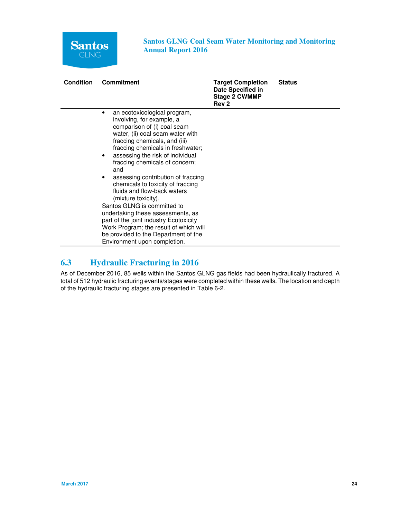

| <b>Condition</b> | <b>Commitment</b>                                                                                                                                                                                                                                                                                                                                                                                                                                                                                                                                                                                                                                | <b>Target Completion</b><br>Date Specified in<br>Stage 2 CWMMP<br>Rev <sub>2</sub> | <b>Status</b> |
|------------------|--------------------------------------------------------------------------------------------------------------------------------------------------------------------------------------------------------------------------------------------------------------------------------------------------------------------------------------------------------------------------------------------------------------------------------------------------------------------------------------------------------------------------------------------------------------------------------------------------------------------------------------------------|------------------------------------------------------------------------------------|---------------|
|                  | an ecotoxicological program,<br>involving, for example, a<br>comparison of (i) coal seam<br>water, (ii) coal seam water with<br>fraccing chemicals, and (iii)<br>fraccing chemicals in freshwater;<br>assessing the risk of individual<br>fraccing chemicals of concern;<br>and<br>assessing contribution of fraccing<br>chemicals to toxicity of fraccing<br>fluids and flow-back waters<br>(mixture toxicity).<br>Santos GLNG is committed to<br>undertaking these assessments, as<br>part of the joint industry Ecotoxicity<br>Work Program; the result of which will<br>be provided to the Department of the<br>Environment upon completion. |                                                                                    |               |

# **6.3 Hydraulic Fracturing in 2016**

As of December 2016, 85 wells within the Santos GLNG gas fields had been hydraulically fractured. A total of 512 hydraulic fracturing events/stages were completed within these wells. The location and depth of the hydraulic fracturing stages are presented in Table 6-2.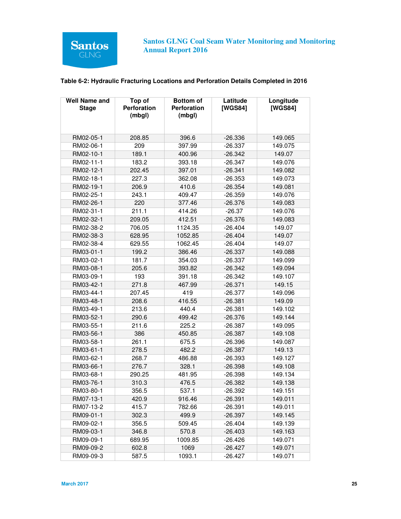

#### **Table 6-2: Hydraulic Fracturing Locations and Perforation Details Completed in 2016**

| <b>Well Name and</b><br><b>Stage</b> | Top of<br><b>Perforation</b><br>(mbgl) | <b>Bottom of</b><br>Perforation<br>(mbgl) | Latitude<br>[WGS84] | Longitude<br>[WGS84] |
|--------------------------------------|----------------------------------------|-------------------------------------------|---------------------|----------------------|
| RM02-05-1                            | 208.85                                 | 396.6                                     | $-26.336$           | 149.065              |
| RM02-06-1                            | 209                                    | 397.99                                    | $-26.337$           | 149.075              |
| RM02-10-1                            | 189.1                                  | 400.96                                    | $-26.342$           | 149.07               |
| RM02-11-1                            | 183.2                                  | 393.18                                    | $-26.347$           | 149.076              |
| RM02-12-1                            | 202.45                                 | 397.01                                    | $-26.341$           | 149.082              |
| RM02-18-1                            | 227.3                                  | 362.08                                    | $-26.353$           | 149.073              |
| RM02-19-1                            | 206.9                                  | 410.6                                     | $-26.354$           | 149.081              |
| RM02-25-1                            | 243.1                                  | 409.47                                    | $-26.359$           | 149.076              |
| RM02-26-1                            | 220                                    | 377.46                                    | $-26.376$           | 149.083              |
| RM02-31-1                            | 211.1                                  | 414.26                                    | $-26.37$            | 149.076              |
| RM02-32-1                            | 209.05                                 | 412.51                                    | $-26.376$           | 149.083              |
| RM02-38-2                            | 706.05                                 | 1124.35                                   | $-26.404$           | 149.07               |
| RM02-38-3                            | 628.95                                 | 1052.85                                   | $-26.404$           | 149.07               |
| RM02-38-4                            | 629.55                                 | 1062.45                                   | $-26.404$           | 149.07               |
| RM03-01-1                            | 199.2                                  | 386.46                                    | $-26.337$           | 149.088              |
| RM03-02-1                            | 181.7                                  | 354.03                                    | $-26.337$           | 149.099              |
| RM03-08-1                            | 205.6                                  | 393.82                                    | $-26.342$           | 149.094              |
| RM03-09-1                            | 193                                    | 391.18                                    | $-26.342$           | 149.107              |
| RM03-42-1                            | 271.8                                  | 467.99                                    | $-26.371$           | 149.15               |
| RM03-44-1                            | 207.45                                 | 419                                       | $-26.377$           | 149.096              |
| RM03-48-1                            | 208.6                                  | 416.55                                    | $-26.381$           | 149.09               |
| RM03-49-1                            | 213.6                                  | 440.4                                     | $-26.381$           | 149.102              |
| RM03-52-1                            | 290.6                                  | 499.42                                    | $-26.376$           | 149.144              |
| RM03-55-1                            | 211.6                                  | 225.2                                     | $-26.387$           | 149.095              |
| RM03-56-1                            | 386                                    | 450.85                                    | $-26.387$           | 149.108              |
| RM03-58-1                            | 261.1                                  | 675.5                                     | $-26.396$           | 149.087              |
| RM03-61-1                            | 278.5                                  | 482.2                                     | $-26.387$           | 149.13               |
| RM03-62-1                            | 268.7                                  | 486.88                                    | $-26.393$           | 149.127              |
| RM03-66-1                            | 276.7                                  | 328.1                                     | $-26.398$           | 149.108              |
| RM03-68-1                            | 290.25                                 | 481.95                                    | $-26.398$           | 149.134              |
| RM03-76-1                            | 310.3                                  | 476.5                                     | $-26.382$           | 149.138              |
| RM03-80-1                            | 356.5                                  | 537.1                                     | $-26.392$           | 149.151              |
| RM07-13-1                            | 420.9                                  | 916.46                                    | $-26.391$           | 149.011              |
| RM07-13-2                            | 415.7                                  | 782.66                                    | $-26.391$           | 149.011              |
| RM09-01-1                            | 302.3                                  | 499.9                                     | $-26.397$           | 149.145              |
| RM09-02-1                            | 356.5                                  | 509.45                                    | $-26.404$           | 149.139              |
| RM09-03-1                            | 346.8                                  | 570.8                                     | $-26.403$           | 149.163              |
| RM09-09-1                            | 689.95                                 | 1009.85                                   | $-26.426$           | 149.071              |
| RM09-09-2                            | 602.8                                  | 1069                                      | $-26.427$           | 149.071              |
| RM09-09-3                            | 587.5                                  | 1093.1                                    | $-26.427$           | 149.071              |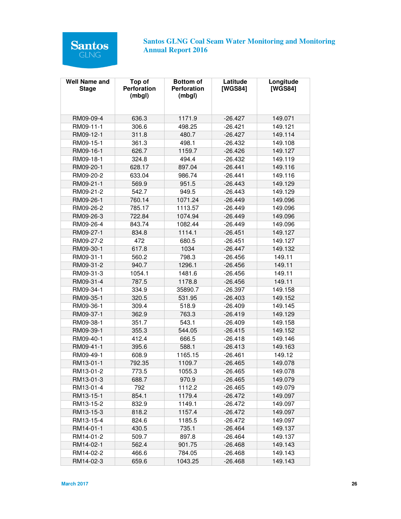

| Well Name and<br><b>Stage</b> | Top of<br>Perforation<br>(mbgl) | <b>Bottom of</b><br><b>Perforation</b><br>(mbgl) | Latitude<br>[WGS84] | Longitude<br>[WGS84] |
|-------------------------------|---------------------------------|--------------------------------------------------|---------------------|----------------------|
| RM09-09-4                     | 636.3                           | 1171.9                                           | $-26.427$           | 149.071              |
| RM09-11-1                     | 306.6                           | 498.25                                           | $-26.421$           | 149.121              |
| RM09-12-1                     | 311.8                           | 480.7                                            | $-26.427$           | 149.114              |
| RM09-15-1                     | 361.3                           | 498.1                                            | $-26.432$           | 149.108              |
| RM09-16-1                     | 626.7                           | 1159.7                                           | $-26.426$           | 149.127              |
| RM09-18-1                     | 324.8                           | 494.4                                            | $-26.432$           | 149.119              |
| RM09-20-1                     | 628.17                          | 897.04                                           | $-26.441$           | 149.116              |
| RM09-20-2                     | 633.04                          | 986.74                                           | $-26.441$           | 149.116              |
| RM09-21-1                     | 569.9                           | 951.5                                            | $-26.443$           | 149.129              |
| RM09-21-2                     | 542.7                           | 949.5                                            | $-26.443$           | 149.129              |
| RM09-26-1                     | 760.14                          | 1071.24                                          | $-26.449$           | 149.096              |
| RM09-26-2                     | 785.17                          | 1113.57                                          | $-26.449$           | 149.096              |
| RM09-26-3                     | 722.84                          | 1074.94                                          | $-26.449$           | 149.096              |
| RM09-26-4                     | 843.74                          | 1082.44                                          | $-26.449$           | 149.096              |
| RM09-27-1                     | 834.8                           | 1114.1                                           | $-26.451$           | 149.127              |
| RM09-27-2                     | 472                             | 680.5                                            | $-26.451$           | 149.127              |
| RM09-30-1                     | 617.8                           | 1034                                             | $-26.447$           | 149.132              |
| RM09-31-1                     | 560.2                           | 798.3                                            | $-26.456$           | 149.11               |
| RM09-31-2                     | 940.7                           | 1296.1                                           | $-26.456$           | 149.11               |
| RM09-31-3                     | 1054.1                          | 1481.6                                           | $-26.456$           | 149.11               |
| RM09-31-4                     | 787.5                           | 1178.8                                           | $-26.456$           | 149.11               |
| RM09-34-1                     | 334.9                           | 35890.7                                          | $-26.397$           | 149.158              |
| RM09-35-1                     | 320.5                           | 531.95                                           | $-26.403$           | 149.152              |
| RM09-36-1                     | 309.4                           | 518.9                                            | $-26.409$           | 149.145              |
| RM09-37-1                     | 362.9                           | 763.3                                            | $-26.419$           | 149.129              |
| RM09-38-1                     | 351.7                           | 543.1                                            | $-26.409$           | 149.158              |
| RM09-39-1                     | 355.3                           | 544.05                                           | $-26.415$           | 149.152              |
| RM09-40-1                     | 412.4                           | 666.5                                            | $-26.418$           | 149.146              |
| RM09-41-1                     | 395.6                           | 588.1                                            | $-26.413$           | 149.163              |
| RM09-49-1                     | 608.9                           | 1165.15                                          | $-26.461$           | 149.12               |
| RM13-01-1                     | 792.35                          | 1109.7                                           | $-26.465$           | 149.078              |
| RM13-01-2                     | 773.5                           | 1055.3                                           | $-26.465$           | 149.078              |
| RM13-01-3                     | 688.7                           | 970.9                                            | $-26.465$           | 149.079              |
| RM13-01-4                     | 792                             | 1112.2                                           | $-26.465$           | 149.079              |
| RM13-15-1                     | 854.1                           | 1179.4                                           | $-26.472$           | 149.097              |
| RM13-15-2                     | 832.9                           | 1149.1                                           | $-26.472$           | 149.097              |
| RM13-15-3                     | 818.2                           | 1157.4                                           | $-26.472$           | 149.097              |
| RM13-15-4                     | 824.6                           | 1185.5                                           | $-26.472$           | 149.097              |
| RM14-01-1                     | 430.5                           | 735.1                                            | $-26.464$           | 149.137              |
| RM14-01-2                     | 509.7                           | 897.8                                            | $-26.464$           | 149.137              |
| RM14-02-1                     | 562.4                           | 901.75                                           | $-26.468$           | 149.143              |
| RM14-02-2                     | 466.6                           | 784.05                                           | $-26.468$           | 149.143              |
| RM14-02-3                     | 659.6                           | 1043.25                                          | $-26.468$           | 149.143              |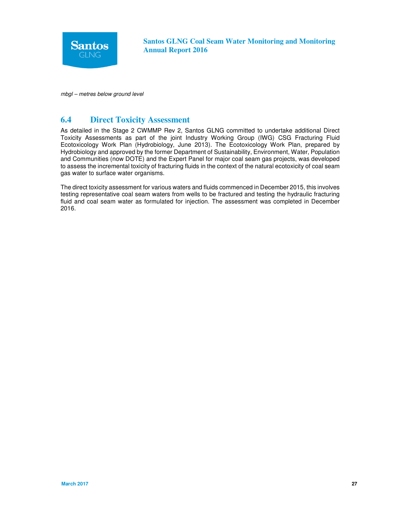

*mbgl – metres below ground level* 

### **6.4 Direct Toxicity Assessment**

As detailed in the Stage 2 CWMMP Rev 2, Santos GLNG committed to undertake additional Direct Toxicity Assessments as part of the joint Industry Working Group (IWG) CSG Fracturing Fluid Ecotoxicology Work Plan (Hydrobiology, June 2013). The Ecotoxicology Work Plan, prepared by Hydrobiology and approved by the former Department of Sustainability, Environment, Water, Population and Communities (now DOTE) and the Expert Panel for major coal seam gas projects, was developed to assess the incremental toxicity of fracturing fluids in the context of the natural ecotoxicity of coal seam gas water to surface water organisms.

The direct toxicity assessment for various waters and fluids commenced in December 2015, this involves testing representative coal seam waters from wells to be fractured and testing the hydraulic fracturing fluid and coal seam water as formulated for injection. The assessment was completed in December 2016.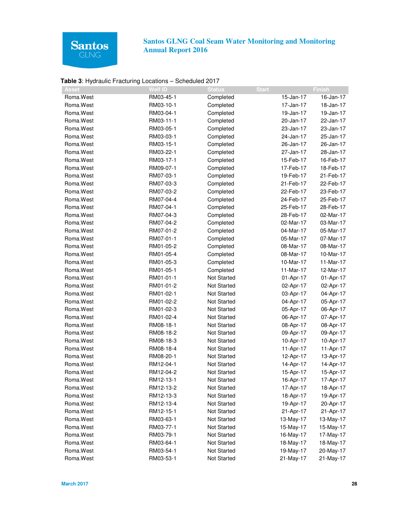

#### **Table 3**: Hydraulic Fracturing Locations – Scheduled 2017

| <b>Asset</b> | <b>Well ID</b> | <b>Status</b>      | <b>Start</b> | Finish    |
|--------------|----------------|--------------------|--------------|-----------|
| Roma.West    | RM03-45-1      | Completed          | 15-Jan-17    | 16-Jan-17 |
| Roma.West    | RM03-10-1      | Completed          | 17-Jan-17    | 18-Jan-17 |
| Roma.West    | RM03-04-1      | Completed          | 19-Jan-17    | 19-Jan-17 |
| Roma.West    | RM03-11-1      | Completed          | 20-Jan-17    | 22-Jan-17 |
| Roma.West    | RM03-05-1      | Completed          | 23-Jan-17    | 23-Jan-17 |
| Roma.West    | RM03-03-1      | Completed          | 24-Jan-17    | 25-Jan-17 |
| Roma.West    | RM03-15-1      | Completed          | 26-Jan-17    | 26-Jan-17 |
| Roma.West    | RM03-22-1      | Completed          | 27-Jan-17    | 28-Jan-17 |
| Roma.West    | RM03-17-1      | Completed          | 15-Feb-17    | 16-Feb-17 |
| Roma.West    | RM09-07-1      | Completed          | 17-Feb-17    | 18-Feb-17 |
| Roma.West    | RM07-03-1      | Completed          | 19-Feb-17    | 21-Feb-17 |
| Roma.West    | RM07-03-3      | Completed          | 21-Feb-17    | 22-Feb-17 |
| Roma.West    | RM07-03-2      | Completed          | 22-Feb-17    | 23-Feb-17 |
| Roma.West    | RM07-04-4      | Completed          | 24-Feb-17    | 25-Feb-17 |
| Roma.West    | RM07-04-1      | Completed          | 25-Feb-17    | 28-Feb-17 |
| Roma.West    | RM07-04-3      | Completed          | 28-Feb-17    | 02-Mar-17 |
| Roma.West    | RM07-04-2      | Completed          | 02-Mar-17    | 03-Mar-17 |
| Roma.West    | RM07-01-2      | Completed          | 04-Mar-17    | 05-Mar-17 |
| Roma.West    | RM07-01-1      | Completed          | 05-Mar-17    | 07-Mar-17 |
| Roma.West    | RM01-05-2      | Completed          | 08-Mar-17    | 08-Mar-17 |
| Roma.West    | RM01-05-4      | Completed          | 08-Mar-17    | 10-Mar-17 |
| Roma.West    | RM01-05-3      | Completed          | 10-Mar-17    | 11-Mar-17 |
| Roma.West    | RM01-05-1      | Completed          | 11-Mar-17    | 12-Mar-17 |
| Roma.West    | RM01-01-1      | <b>Not Started</b> | 01-Apr-17    | 01-Apr-17 |
| Roma.West    | RM01-01-2      | <b>Not Started</b> | 02-Apr-17    | 02-Apr-17 |
| Roma.West    | RM01-02-1      | <b>Not Started</b> | 03-Apr-17    | 04-Apr-17 |
| Roma.West    | RM01-02-2      | <b>Not Started</b> | 04-Apr-17    | 05-Apr-17 |
| Roma.West    | RM01-02-3      | <b>Not Started</b> | 05-Apr-17    | 06-Apr-17 |
| Roma.West    | RM01-02-4      | <b>Not Started</b> | 06-Apr-17    | 07-Apr-17 |
| Roma.West    | RM08-18-1      | <b>Not Started</b> | 08-Apr-17    | 08-Apr-17 |
| Roma.West    | RM08-18-2      | <b>Not Started</b> | 09-Apr-17    | 09-Apr-17 |
| Roma.West    | RM08-18-3      | <b>Not Started</b> | 10-Apr-17    | 10-Apr-17 |
| Roma.West    | RM08-18-4      | <b>Not Started</b> | 11-Apr-17    | 11-Apr-17 |
| Roma.West    | RM08-20-1      | <b>Not Started</b> | 12-Apr-17    | 13-Apr-17 |
| Roma.West    | RM12-04-1      | Not Started        | 14-Apr-17    | 14-Apr-17 |
| Roma.West    | RM12-04-2      | Not Started        | 15-Apr-17    | 15-Apr-17 |
| Roma.West    | RM12-13-1      | Not Started        | 16-Apr-17    | 17-Apr-17 |
| Roma.West    | RM12-13-2      | Not Started        | 17-Apr-17    | 18-Apr-17 |
| Roma.West    | RM12-13-3      | Not Started        | 18-Apr-17    | 19-Apr-17 |
| Roma.West    | RM12-13-4      | <b>Not Started</b> | 19-Apr-17    | 20-Apr-17 |
| Roma.West    | RM12-15-1      | Not Started        | 21-Apr-17    | 21-Apr-17 |
| Roma.West    | RM03-63-1      | Not Started        | 13-May-17    | 13-May-17 |
| Roma.West    | RM03-77-1      | Not Started        | 15-May-17    | 15-May-17 |
| Roma.West    | RM03-79-1      | Not Started        | 16-May-17    | 17-May-17 |
| Roma.West    | RM03-64-1      | Not Started        | 18-May-17    | 18-May-17 |
| Roma.West    | RM03-54-1      | Not Started        | 19-May-17    | 20-May-17 |
| Roma.West    | RM03-53-1      | Not Started        | 21-May-17    | 21-May-17 |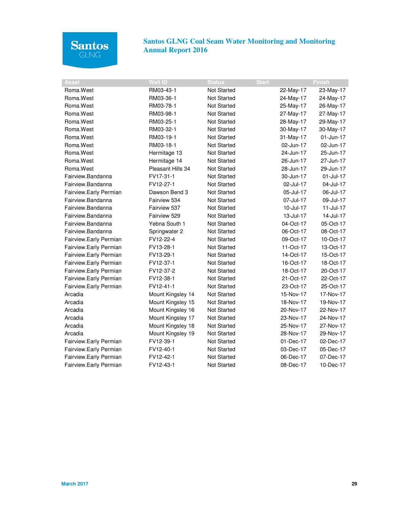# **Santos**

| <b>Asset</b>           | <b>Well ID</b>    | <b>Status</b>      | <b>Start</b> | <b>Finish</b> |
|------------------------|-------------------|--------------------|--------------|---------------|
| Roma.West              | RM03-43-1         | <b>Not Started</b> | 22-May-17    | 23-May-17     |
| Roma.West              | RM03-36-1         | <b>Not Started</b> | 24-May-17    | 24-May-17     |
| Roma.West              | RM03-78-1         | <b>Not Started</b> | 25-May-17    | 26-May-17     |
| Roma.West              | RM03-98-1         | Not Started        | 27-May-17    | 27-May-17     |
| Roma.West              | RM03-25-1         | Not Started        | 28-May-17    | 29-May-17     |
| Roma.West              | RM03-32-1         | Not Started        | 30-May-17    | 30-May-17     |
| Roma.West              | RM03-19-1         | <b>Not Started</b> | 31-May-17    | $01$ -Jun-17  |
| Roma.West              | RM03-18-1         | Not Started        | 02-Jun-17    | 02-Jun-17     |
| Roma.West              | Hermitage 13      | Not Started        | 24-Jun-17    | 25-Jun-17     |
| Roma.West              | Hermitage 14      | Not Started        | 26-Jun-17    | 27-Jun-17     |
| Roma.West              | Pleasant Hills 34 | <b>Not Started</b> | 28-Jun-17    | 29-Jun-17     |
| Fairview.Bandanna      | FV17-31-1         | Not Started        | 30-Jun-17    | $01$ -Jul-17  |
| Fairview.Bandanna      | FV12-27-1         | <b>Not Started</b> | 02-Jul-17    | 04-Jul-17     |
| Fairview.Early Permian | Dawson Bend 3     | Not Started        | 05-Jul-17    | 06-Jul-17     |
| Fairview.Bandanna      | Fairview 534      | <b>Not Started</b> | 07-Jul-17    | 09-Jul-17     |
| Fairview.Bandanna      | Fairview 537      | Not Started        | 10-Jul-17    | $11$ -Jul-17  |
| Fairview.Bandanna      | Fairview 529      | <b>Not Started</b> | 13-Jul-17    | 14-Jul-17     |
| Fairview.Bandanna      | Yebna South 1     | Not Started        | 04-Oct-17    | 05-Oct-17     |
| Fairview.Bandanna      | Springwater 2     | <b>Not Started</b> | 06-Oct-17    | 08-Oct-17     |
| Fairview.Early Permian | FV12-22-4         | Not Started        | 09-Oct-17    | 10-Oct-17     |
| Fairview.Early Permian | FV13-28-1         | <b>Not Started</b> | 11-Oct-17    | 13-Oct-17     |
| Fairview.Early Permian | FV13-29-1         | Not Started        | 14-Oct-17    | 15-Oct-17     |
| Fairview.Early Permian | FV12-37-1         | Not Started        | 16-Oct-17    | 18-Oct-17     |
| Fairview.Early Permian | FV12-37-2         | Not Started        | 18-Oct-17    | 20-Oct-17     |
| Fairview.Early Permian | FV12-38-1         | <b>Not Started</b> | 21-Oct-17    | 22-Oct-17     |
| Fairview.Early Permian | FV12-41-1         | <b>Not Started</b> | 23-Oct-17    | 25-Oct-17     |
| Arcadia                | Mount Kingsley 14 | <b>Not Started</b> | 15-Nov-17    | 17-Nov-17     |
| Arcadia                | Mount Kingsley 15 | <b>Not Started</b> | 18-Nov-17    | 19-Nov-17     |
| Arcadia                | Mount Kingsley 16 | Not Started        | 20-Nov-17    | 22-Nov-17     |
| Arcadia                | Mount Kingsley 17 | Not Started        | 23-Nov-17    | 24-Nov-17     |
| Arcadia                | Mount Kingsley 18 | Not Started        | 25-Nov-17    | 27-Nov-17     |
| Arcadia                | Mount Kingsley 19 | <b>Not Started</b> | 28-Nov-17    | 29-Nov-17     |
| Fairview.Early Permian | FV12-39-1         | Not Started        | 01-Dec-17    | 02-Dec-17     |
| Fairview.Early Permian | FV12-40-1         | <b>Not Started</b> | 03-Dec-17    | 05-Dec-17     |
| Fairview.Early Permian | FV12-42-1         | Not Started        | 06-Dec-17    | 07-Dec-17     |
| Fairview.Early Permian | FV12-43-1         | <b>Not Started</b> | 08-Dec-17    | 10-Dec-17     |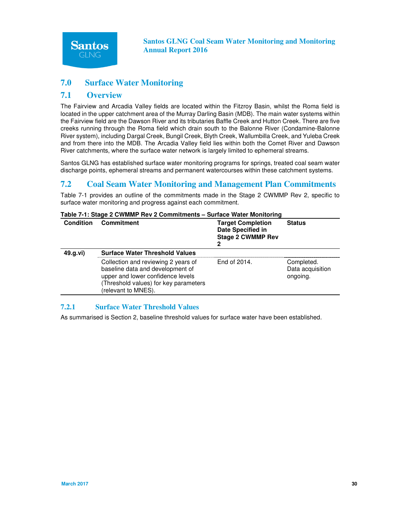

# **7.0 Surface Water Monitoring**

#### **7.1 Overview**

The Fairview and Arcadia Valley fields are located within the Fitzroy Basin, whilst the Roma field is located in the upper catchment area of the Murray Darling Basin (MDB). The main water systems within the Fairview field are the Dawson River and its tributaries Baffle Creek and Hutton Creek. There are five creeks running through the Roma field which drain south to the Balonne River (Condamine-Balonne River system), including Dargal Creek, Bungil Creek, Blyth Creek, Wallumbilla Creek, and Yuleba Creek and from there into the MDB. The Arcadia Valley field lies within both the Comet River and Dawson River catchments, where the surface water network is largely limited to ephemeral streams.

Santos GLNG has established surface water monitoring programs for springs, treated coal seam water discharge points, ephemeral streams and permanent watercourses within these catchment systems.

# **7.2 Coal Seam Water Monitoring and Management Plan Commitments**

Table 7-1 provides an outline of the commitments made in the Stage 2 CWMMP Rev 2, specific to surface water monitoring and progress against each commitment.

| Condition | <b>Commitment</b>                                                                                                                                                            | <b>Target Completion</b><br><b>Date Specified in</b><br><b>Stage 2 CWMMP Rev</b><br>2 | <b>Status</b>                              |
|-----------|------------------------------------------------------------------------------------------------------------------------------------------------------------------------------|---------------------------------------------------------------------------------------|--------------------------------------------|
| 49.g.vi)  | <b>Surface Water Threshold Values</b>                                                                                                                                        |                                                                                       |                                            |
|           | Collection and reviewing 2 years of<br>baseline data and development of<br>upper and lower confidence levels<br>(Threshold values) for key parameters<br>(relevant to MNES). | End of 2014.                                                                          | Completed.<br>Data acquisition<br>ongoing. |

| Table 7-1: Stage 2 CWMMP Rev 2 Commitments - Surface Water Monitoring |  |  |
|-----------------------------------------------------------------------|--|--|
|-----------------------------------------------------------------------|--|--|

#### **7.2.1 Surface Water Threshold Values**

As summarised is Section 2, baseline threshold values for surface water have been established.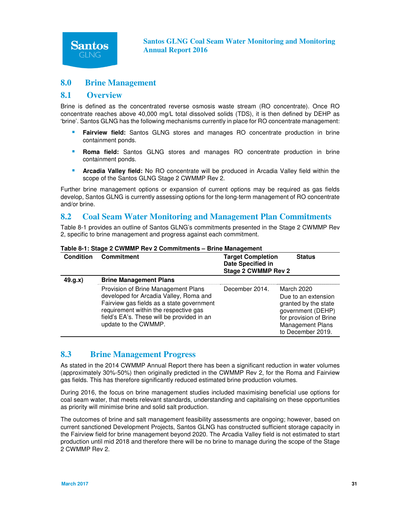

### **8.0 Brine Management**

#### **8.1 Overview**

Brine is defined as the concentrated reverse osmosis waste stream (RO concentrate). Once RO concentrate reaches above 40,000 mg/L total dissolved solids (TDS), it is then defined by DEHP as 'brine'. Santos GLNG has the following mechanisms currently in place for RO concentrate management:

- **Fairview field:** Santos GLNG stores and manages RO concentrate production in brine containment ponds.
- **Roma field:** Santos GLNG stores and manages RO concentrate production in brine containment ponds.
- **Arcadia Valley field:** No RO concentrate will be produced in Arcadia Valley field within the scope of the Santos GLNG Stage 2 CWMMP Rev 2.

Further brine management options or expansion of current options may be required as gas fields develop, Santos GLNG is currently assessing options for the long-term management of RO concentrate and/or brine.

#### **8.2 Coal Seam Water Monitoring and Management Plan Commitments**

Table 8-1 provides an outline of Santos GLNG's commitments presented in the Stage 2 CWMMP Rev 2, specific to brine management and progress against each commitment.

| <b>Condition</b> | <b>Commitment</b>                                                                                                                                                                                                                         | <b>Target Completion</b><br><b>Date Specified in</b><br><b>Stage 2 CWMMP Rev 2</b> | <b>Status</b>                                                                                                                                            |
|------------------|-------------------------------------------------------------------------------------------------------------------------------------------------------------------------------------------------------------------------------------------|------------------------------------------------------------------------------------|----------------------------------------------------------------------------------------------------------------------------------------------------------|
| 49.g.x)          | <b>Brine Management Plans</b>                                                                                                                                                                                                             |                                                                                    |                                                                                                                                                          |
|                  | Provision of Brine Management Plans<br>developed for Arcadia Valley, Roma and<br>Fairview gas fields as a state government<br>requirement within the respective gas<br>field's EA's. These will be provided in an<br>update to the CWMMP. | December 2014.                                                                     | March 2020<br>Due to an extension<br>granted by the state<br>government (DEHP)<br>for provision of Brine<br><b>Management Plans</b><br>to December 2019. |

#### **Table 8-1: Stage 2 CWMMP Rev 2 Commitments – Brine Management**

#### **8.3 Brine Management Progress**

As stated in the 2014 CWMMP Annual Report there has been a significant reduction in water volumes (approximately 30%-50%) then originally predicted in the CWMMP Rev 2, for the Roma and Fairview gas fields. This has therefore significantly reduced estimated brine production volumes.

During 2016, the focus on brine management studies included maximising beneficial use options for coal seam water, that meets relevant standards, understanding and capitalising on these opportunities as priority will minimise brine and solid salt production.

The outcomes of brine and salt management feasibility assessments are ongoing; however, based on current sanctioned Development Projects, Santos GLNG has constructed sufficient storage capacity in the Fairview field for brine management beyond 2020. The Arcadia Valley field is not estimated to start production until mid 2018 and therefore there will be no brine to manage during the scope of the Stage 2 CWMMP Rev 2.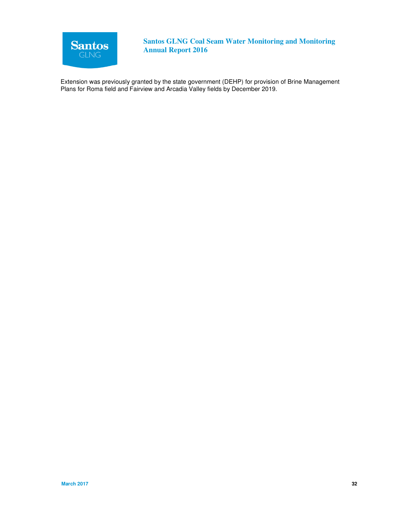

Extension was previously granted by the state government (DEHP) for provision of Brine Management Plans for Roma field and Fairview and Arcadia Valley fields by December 2019.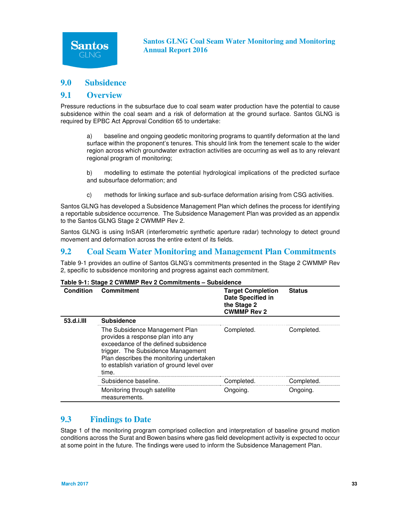

#### **9.0 Subsidence**

#### **9.1 Overview**

Pressure reductions in the subsurface due to coal seam water production have the potential to cause subsidence within the coal seam and a risk of deformation at the ground surface. Santos GLNG is required by EPBC Act Approval Condition 65 to undertake:

a) baseline and ongoing geodetic monitoring programs to quantify deformation at the land surface within the proponent's tenures. This should link from the tenement scale to the wider region across which groundwater extraction activities are occurring as well as to any relevant regional program of monitoring;

b) modelling to estimate the potential hydrological implications of the predicted surface and subsurface deformation; and

c) methods for linking surface and sub-surface deformation arising from CSG activities.

Santos GLNG has developed a Subsidence Management Plan which defines the process for identifying a reportable subsidence occurrence. The Subsidence Management Plan was provided as an appendix to the Santos GLNG Stage 2 CWMMP Rev 2.

Santos GLNG is using InSAR (interferometric synthetic aperture radar) technology to detect ground movement and deformation across the entire extent of its fields.

#### **9.2 Coal Seam Water Monitoring and Management Plan Commitments**

Table 9-1 provides an outline of Santos GLNG's commitments presented in the Stage 2 CWMMP Rev 2, specific to subsidence monitoring and progress against each commitment.

| Condition  | <b>Commitment</b>                                                                                                                                                                                                                                     | <b>Target Completion</b><br><b>Date Specified in</b><br>the Stage 2<br><b>CWMMP Rev 2</b> | <b>Status</b> |
|------------|-------------------------------------------------------------------------------------------------------------------------------------------------------------------------------------------------------------------------------------------------------|-------------------------------------------------------------------------------------------|---------------|
| 53.d.i.lll | <b>Subsidence</b>                                                                                                                                                                                                                                     |                                                                                           |               |
|            | The Subsidence Management Plan<br>provides a response plan into any<br>exceedance of the defined subsidence<br>trigger. The Subsidence Management<br>Plan describes the monitoring undertaken<br>to establish variation of ground level over<br>time. | Completed.                                                                                | Completed.    |
|            | Subsidence baseline.                                                                                                                                                                                                                                  | Completed.                                                                                | Completed.    |
|            | Monitoring through satellite<br>measurements.                                                                                                                                                                                                         | Ongoing.                                                                                  | Ongoing.      |

#### **Table 9-1: Stage 2 CWMMP Rev 2 Commitments – Subsidence**

### **9.3 Findings to Date**

Stage 1 of the monitoring program comprised collection and interpretation of baseline ground motion conditions across the Surat and Bowen basins where gas field development activity is expected to occur at some point in the future. The findings were used to inform the Subsidence Management Plan.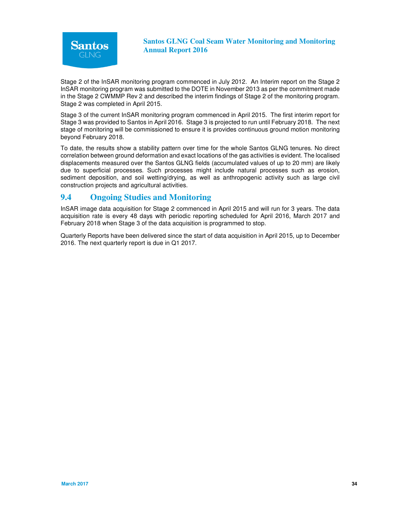

Stage 2 of the InSAR monitoring program commenced in July 2012. An Interim report on the Stage 2 InSAR monitoring program was submitted to the DOTE in November 2013 as per the commitment made in the Stage 2 CWMMP Rev 2 and described the interim findings of Stage 2 of the monitoring program. Stage 2 was completed in April 2015.

Stage 3 of the current InSAR monitoring program commenced in April 2015. The first interim report for Stage 3 was provided to Santos in April 2016. Stage 3 is projected to run until February 2018. The next stage of monitoring will be commissioned to ensure it is provides continuous ground motion monitoring beyond February 2018.

To date, the results show a stability pattern over time for the whole Santos GLNG tenures. No direct correlation between ground deformation and exact locations of the gas activities is evident. The localised displacements measured over the Santos GLNG fields (accumulated values of up to 20 mm) are likely due to superficial processes. Such processes might include natural processes such as erosion, sediment deposition, and soil wetting/drying, as well as anthropogenic activity such as large civil construction projects and agricultural activities.

# **9.4 Ongoing Studies and Monitoring**

InSAR image data acquisition for Stage 2 commenced in April 2015 and will run for 3 years. The data acquisition rate is every 48 days with periodic reporting scheduled for April 2016, March 2017 and February 2018 when Stage 3 of the data acquisition is programmed to stop.

Quarterly Reports have been delivered since the start of data acquisition in April 2015, up to December 2016. The next quarterly report is due in Q1 2017.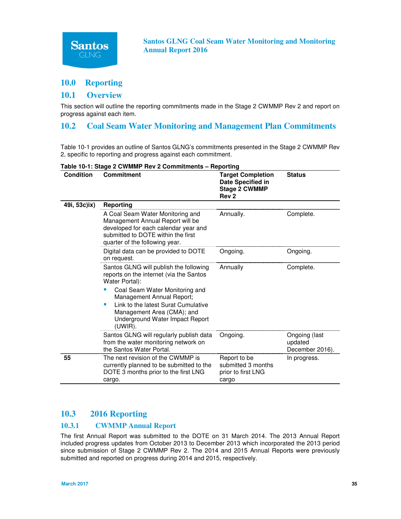

#### **10.0 Reporting**

#### **10.1 Overview**

This section will outline the reporting commitments made in the Stage 2 CWMMP Rev 2 and report on progress against each item.

#### **10.2 Coal Seam Water Monitoring and Management Plan Commitments**

Table 10-1 provides an outline of Santos GLNG's commitments presented in the Stage 2 CWMMP Rev 2, specific to reporting and progress against each commitment.

| <b>Condition</b> | <b>Commitment</b>                                                                                                                                                                    | <b>Target Completion</b><br>Date Specified in<br><b>Stage 2 CWMMP</b><br>Rev <sub>2</sub> | <b>Status</b>                               |
|------------------|--------------------------------------------------------------------------------------------------------------------------------------------------------------------------------------|-------------------------------------------------------------------------------------------|---------------------------------------------|
| 49i, 53c)ix)     | <b>Reporting</b>                                                                                                                                                                     |                                                                                           |                                             |
|                  | A Coal Seam Water Monitoring and<br>Management Annual Report will be<br>developed for each calendar year and<br>submitted to DOTE within the first<br>quarter of the following year. | Annually.                                                                                 | Complete.                                   |
|                  | Digital data can be provided to DOTE<br>on request.                                                                                                                                  | Ongoing.                                                                                  | Ongoing.                                    |
|                  | Santos GLNG will publish the following<br>reports on the internet (via the Santos<br>Water Portal):                                                                                  | Annually                                                                                  | Complete.                                   |
|                  | Coal Seam Water Monitoring and<br>ш<br>Management Annual Report;                                                                                                                     |                                                                                           |                                             |
|                  | Link to the latest Surat Cumulative<br>п<br>Management Area (CMA); and<br>Underground Water Impact Report<br>(UWIR).                                                                 |                                                                                           |                                             |
|                  | Santos GLNG will regularly publish data<br>from the water monitoring network on<br>the Santos Water Portal.                                                                          | Ongoing.                                                                                  | Ongoing (last<br>updated<br>December 2016). |
| 55               | The next revision of the CWMMP is<br>currently planned to be submitted to the<br>DOTE 3 months prior to the first LNG<br>cargo.                                                      | Report to be<br>submitted 3 months<br>prior to first LNG<br>cargo                         | In progress.                                |

#### **Table 10-1: Stage 2 CWMMP Rev 2 Commitments – Reporting**

#### **10.3 2016 Reporting**

#### **10.3.1 CWMMP Annual Report**

The first Annual Report was submitted to the DOTE on 31 March 2014. The 2013 Annual Report included progress updates from October 2013 to December 2013 which incorporated the 2013 period since submission of Stage 2 CWMMP Rev 2. The 2014 and 2015 Annual Reports were previously submitted and reported on progress during 2014 and 2015, respectively.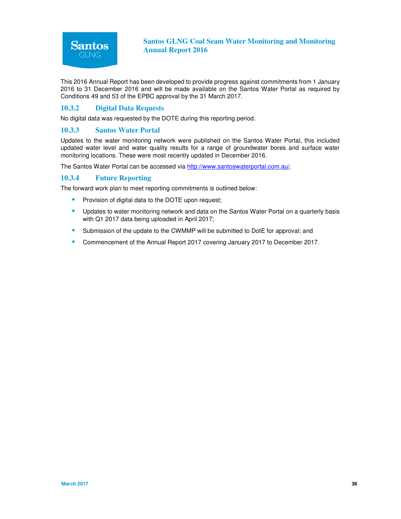

This 2016 Annual Report has been developed to provide progress against commitments from 1 January 2016 to 31 December 2016 and will be made available on the Santos Water Portal as required by Conditions 49 and 53 of the EPBC approval by the 31 March 2017.

#### **10.3.2 Digital Data Requests**

No digital data was requested by the DOTE during this reporting period.

#### **10.3.3 Santos Water Portal**

Updates to the water monitoring network were published on the Santos Water Portal, this included updated water level and water quality results for a range of groundwater bores and surface water monitoring locations. These were most recently updated in December 2016.

The Santos Water Portal can be accessed via http://www.santoswaterportal.com.au/.

#### **10.3.4 Future Reporting**

The forward work plan to meet reporting commitments is outlined below:

- **Provision of digital data to the DOTE upon request;**
- **Updates to water monitoring network and data on the Santos Water Portal on a quarterly basis** with Q1 2017 data being uploaded in April 2017;
- **Submission of the update to the CWMMP will be submitted to DotE for approval; and**
- **Commencement of the Annual Report 2017 covering January 2017 to December 2017.**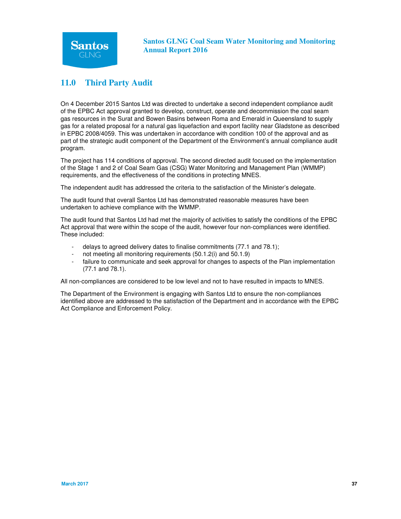

# **11.0 Third Party Audit**

On 4 December 2015 Santos Ltd was directed to undertake a second independent compliance audit of the EPBC Act approval granted to develop, construct, operate and decommission the coal seam gas resources in the Surat and Bowen Basins between Roma and Emerald in Queensland to supply gas for a related proposal for a natural gas liquefaction and export facility near Gladstone as described in EPBC 2008/4059. This was undertaken in accordance with condition 100 of the approval and as part of the strategic audit component of the Department of the Environment's annual compliance audit program.

The project has 114 conditions of approval. The second directed audit focused on the implementation of the Stage 1 and 2 of Coal Seam Gas (CSG) Water Monitoring and Management Plan (WMMP) requirements, and the effectiveness of the conditions in protecting MNES.

The independent audit has addressed the criteria to the satisfaction of the Minister's delegate.

The audit found that overall Santos Ltd has demonstrated reasonable measures have been undertaken to achieve compliance with the WMMP.

The audit found that Santos Ltd had met the majority of activities to satisfy the conditions of the EPBC Act approval that were within the scope of the audit, however four non-compliances were identified. These included:

- delays to agreed delivery dates to finalise commitments (77.1 and 78.1);
- not meeting all monitoring requirements (50.1.2(i) and 50.1.9)
- failure to communicate and seek approval for changes to aspects of the Plan implementation (77.1 and 78.1).

All non-compliances are considered to be low level and not to have resulted in impacts to MNES.

The Department of the Environment is engaging with Santos Ltd to ensure the non-compliances identified above are addressed to the satisfaction of the Department and in accordance with the EPBC Act Compliance and Enforcement Policy.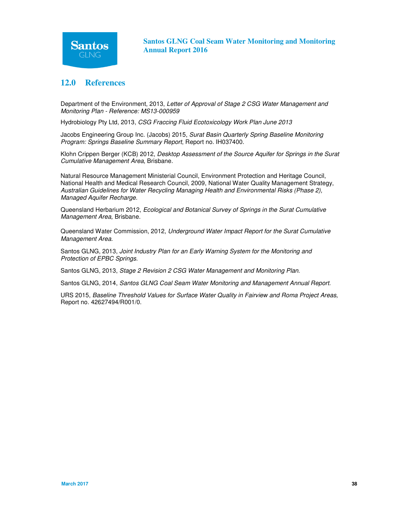

#### **12.0 References**

Department of the Environment, 2013, *Letter of Approval of Stage 2 CSG Water Management and Monitoring Plan - Reference: MS13-000959* 

Hydrobiology Pty Ltd, 2013, *CSG Fraccing Fluid Ecotoxicology Work Plan June 2013* 

Jacobs Engineering Group Inc. (Jacobs) 2015, *Surat Basin Quarterly Spring Baseline Monitoring Program: Springs Baseline Summary Report*, Report no. IH037400.

Klohn Crippen Berger (KCB) 2012, *Desktop Assessment of the Source Aquifer for Springs in the Surat Cumulative Management Area*, Brisbane.

Natural Resource Management Ministerial Council, Environment Protection and Heritage Council, National Health and Medical Research Council, 2009, National Water Quality Management Strategy, *Australian Guidelines for Water Recycling Managing Health and Environmental Risks (Phase 2), Managed Aquifer Recharge.* 

Queensland Herbarium 2012, *Ecological and Botanical Survey of Springs in the Surat Cumulative Management Area,* Brisbane.

Queensland Water Commission, 2012, *Underground Water Impact Report for the Surat Cumulative Management Area.* 

Santos GLNG, 2013, *Joint Industry Plan for an Early Warning System for the Monitoring and Protection of EPBC Springs.* 

Santos GLNG, 2013, *Stage 2 Revision 2 CSG Water Management and Monitoring Plan.* 

Santos GLNG, 2014, *Santos GLNG Coal Seam Water Monitoring and Management Annual Report.*

URS 2015, *Baseline Threshold Values for Surface Water Quality in Fairview and Roma Project Areas,*  Report no. 42627494/R001/0.